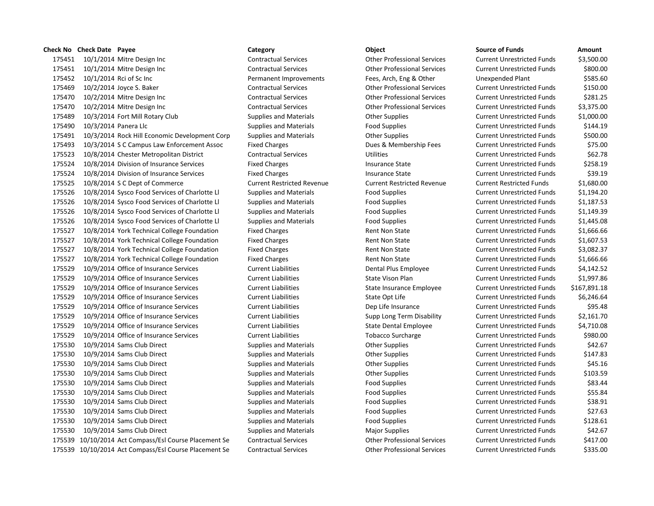# **Check No Check Date Payee Category Object Source of Funds Amount** 10/1/2014 Mitre Design Inc Contractual Services Other Professional Services Current Unrestricted Funds \$3,500.00 10/1/2014 Mitre Design Inc Contractual Services Other Professional Services Current Unrestricted Funds \$800.00 10/1/2014 Rci of Sc Inc Permanent Improvements Fees, Arch, Eng & Other Unexpended Plant \$585.60 10/2/2014 Joyce S. Baker Contractual Services Other Professional Services Current Unrestricted Funds \$150.00 10/2/2014 Mitre Design Inc Contractual Services Other Professional Services Current Unrestricted Funds \$281.25 10/2/2014 Mitre Design Inc Contractual Services Other Professional Services Current Unrestricted Funds \$3,375.00 10/3/2014 Fort Mill Rotary Club Supplies and Materials Other Supplies Current Unrestricted Funds \$1,000.00 175490 10/3/2014 Panera Llc **Supplies and Materials** Food Supplies Food Supplies Current Unrestricted Funds \$144.19 10/3/2014 Rock Hill Economic Development Corp Supplies and Materials Other Supplies Current Unrestricted Funds \$500.00 10/3/2014 S C Campus Law Enforcement Assoc Fixed Charges Dues & Membership Fees Current Unrestricted Funds \$75.00 10/8/2014 Chester Metropolitan District Contractual Services Utilities Current Unrestricted Funds \$62.78 175524 10/8/2014 Division of Insurance Services Fixed Charges Fixed Charges Insurance State Current Unrestricted Funds \$258.19 175524 10/8/2014 Division of Insurance Services Fixed Charges Fixed Charges Insurance State Current Unrestricted Funds \$39.19 10/8/2014 S C Dept of Commerce Current Restricted Revenue Current Restricted Revenue Current Restricted Funds \$1,680.00 10/8/2014 Sysco Food Services of Charlotte Ll Supplies and Materials Food Supplies Current Unrestricted Funds \$1,194.20 10/8/2014 Sysco Food Services of Charlotte Ll Supplies and Materials Food Supplies Current Unrestricted Funds \$1,187.53 10/8/2014 Sysco Food Services of Charlotte Ll Supplies and Materials Food Supplies Current Unrestricted Funds \$1,149.39 10/8/2014 Sysco Food Services of Charlotte Ll Supplies and Materials Food Supplies Current Unrestricted Funds \$1,445.08 10/8/2014 York Technical College Foundation Fixed Charges Rent Non State Current Unrestricted Funds \$1,666.66 10/8/2014 York Technical College Foundation Fixed Charges Rent Non State Current Unrestricted Funds \$1,607.53 10/8/2014 York Technical College Foundation Fixed Charges Rent Non State Current Unrestricted Funds \$3,082.37 10/8/2014 York Technical College Foundation Fixed Charges Rent Non State Current Unrestricted Funds \$1,666.66 10/9/2014 Office of Insurance Services Current Liabilities Dental Plus Employee Current Unrestricted Funds \$4,142.52 10/9/2014 Office of Insurance Services Current Liabilities State Vison Plan Current Unrestricted Funds \$1,997.86 10/9/2014 Office of Insurance Services Current Liabilities State Insurance Employee Current Unrestricted Funds \$167,891.18 10/9/2014 Office of Insurance Services Current Liabilities State Opt Life Current Unrestricted Funds \$6,246.64 10/9/2014 Office of Insurance Services Current Liabilities Dep Life Insurance Current Unrestricted Funds \$95.48 10/9/2014 Office of Insurance Services Current Liabilities Supp Long Term Disability Current Unrestricted Funds \$2,161.70 10/9/2014 Office of Insurance Services Current Liabilities State Dental Employee Current Unrestricted Funds \$4,710.08 10/9/2014 Office of Insurance Services Current Liabilities Tobacco Surcharge Current Unrestricted Funds \$980.00 175530 10/9/2014 Sams Club Direct **Supplies and Materials** Other Supplies Current Unrestricted Funds 542.67 175530 10/9/2014 Sams Club Direct Supplies and Materials Current Unrestricted Funds States Supplies Current Unrestricted Funds \$147.83 175530 10/9/2014 Sams Club Direct Supplies and Materials Current Unrestricted Funds 545.16 175530 10/9/2014 Sams Club Direct Supplies and Materials Current Unrestricted Funds Supplies Current Unrestricted Funds \$103.59 10/9/2014 Sams Club Direct Supplies and Materials Food Supplies Current Unrestricted Funds \$83.44 10/9/2014 Sams Club Direct Supplies and Materials Food Supplies Current Unrestricted Funds \$55.84 10/9/2014 Sams Club Direct Supplies and Materials Food Supplies Current Unrestricted Funds \$38.91 10/9/2014 Sams Club Direct Supplies and Materials Food Supplies Current Unrestricted Funds \$27.63 10/9/2014 Sams Club Direct Supplies and Materials Food Supplies Current Unrestricted Funds \$128.61 175530 10/9/2014 Sams Club Direct Supplies and Materials Major Supplies Major Supplies Current Unrestricted Funds \$42.67 10/10/2014 Act Compass/Esl Course Placement Se Contractual Services Other Professional Services Current Unrestricted Funds \$417.00 10/10/2014 Act Compass/Esl Course Placement Se Contractual Services Other Professional Services Current Unrestricted Funds \$335.00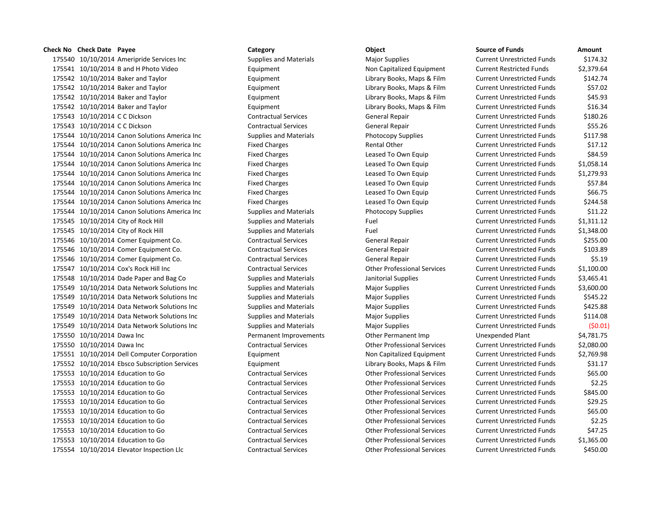# **Check No Check Date Payee Category Object Source of Funds Amount**

175540 10/10/2014 Ameripride Services Inc Supplies and Materials Major Supplies Magnet Current Current Current Cu 175541 10/10/2014 B and H Photo Video **Equipment** Equipment Non Capitalized Equipment Cu 175542 10/10/2014 Baker and Taylor **Library Books, Maps & Film** Current Library Books, Maps & Film Cu 175542 10/10/2014 Baker and Taylor **Library Books, Maps & Film** Current Library Books, Maps & Film Cu 175542 10/10/2014 Baker and Taylor **Example 2018** Equipment Library Books, Maps & Film Current Current Current An 175542 10/10/2014 Baker and Taylor **Library Books, Maps & Film** Current Library Books, Maps & Film Cu 175543 10/10/2014 C C Dickson Current Current Contractual Services General Repair Current Unrestricted Funds \$1 175543 10/10/2014 C C Dickson Current Current Contractual Services General Repair Current Unrestricted Funds \$ 175544 10/10/2014 Canon Solutions America Inc Supplies and Materials Photocopy Supplies Current Current Current Cu 175544 10/10/2014 Canon Solutions America Inc Fixed Charges Fixed Charges Rental Other Current Current Current Cu 175544 10/10/2014 Canon Solutions America Inc Fixed Charges Leased To Own Equip Current Current Current Current Cu 175544 10/10/2014 Canon Solutions America Inc Fixed Charges Leased To Own Equip Current Current Current Current Cu 175544 10/10/2014 Canon Solutions America Inc Fixed Charges Leased To Own Equip Current Current Current Current Cu 175544 10/10/2014 Canon Solutions America Inc Fixed Charges Leased To Own Equip Current Current Current Current Cu 175544 10/10/2014 Canon Solutions America Inc Fixed Charges Leased To Own Equip Current Current Current Current Cu 175544 10/10/2014 Canon Solutions America Inc Fixed Charges Leased To Own Equip Current Current Current Current Cu 175544 10/10/2014 Canon Solutions America Inc Supplies and Materials Photocopy Supplies Current Current Current Cu 175545 10/10/2014 City of Rock Hill Supplies and Materials Fuel Fuel Fuel Current Current Current Cu 175545 10/10/2014 City of Rock Hill Supplies and Materials Fuel Fuel Fuel Current Current Current Cu 175546 10/10/2014 Comer Equipment Co. Contractual Services General Repair Current Unrestricted Funds \$250.000 175546 10/10/2014 Comer Equipment Co. Contractual Services General Repair Current Unrestricted Funds \$103.899 175546 10/10/2014 Comer Equipment Co. Contractual Services General Repair Current Unrestricted Funds \$6.1991 Cu 175547 10/10/2014 Cox's Rock Hill Inc Contractual Services Other Professional Services Cu 175548 10/10/2014 Dade Paper and Bag Co Supplies and Materials Janitorial Supplies Current Current Current Current Current Current Current Current Current Current Current Current Current Current Current Current Current Cur 175549 10/10/2014 Data Network Solutions Inc Supplies and Materials Major Supplies Magnet Current Cu 175549 10/10/2014 Data Network Solutions Inc Supplies and Materials Major Supplies Magnet Current Cu 175549 10/10/2014 Data Network Solutions Inc Supplies and Materials Major Supplies Magnet Current Cu 175549 10/10/2014 Data Network Solutions Inc Supplies and Materials Major Supplies Magnet Current Cu 175549 10/10/2014 Data Network Solutions Inc Supplies and Materials Major Supplies Magnet Current Cu 175550 10/10/2014 Dawa Inc **Permanent Improvements** Other Permanent Imp 175550 10/10/2014 Dawa Inc Contractual Services Current Current Other Professional Services Current Current Cu 175551 10/10/2014 Dell Computer Corporation Equipment Equipment Non Capitalized Equipment Cu 175552 10/10/2014 Ebsco Subscription Services Equipment Library Books, Maps & Film Current Current Accounts \$3 175553 10/10/2014 Education to Go Contractual Services Other Professional Services Current Unrestricted Funds \$6 175553 10/10/2014 Education to Go Contractual Services Current Current Current Current Current Current Current Cu 175553 10/10/2014 Education to Go Contractual Services Other Professional Services Current Unrestricted Funds \$845.000 175553 10/10/2014 Education to Go Contractual Services Other Professional Services Current Unrestricted Funds \$2 175553 10/10/2014 Education to Go Contractual Services Other Professional Services Current Unrestricted Funds \$6 175553 10/10/2014 Education to Go Contractual Services Other Professional Services Current Unrestricted Funds \$2.255 175553 10/10/2014 Education to Go Contractual Services Other Professional Services Cu 175553 10/10/2014 Education to Go Contractual Services Other Professional Services Current Unrestricted Funds \$1,365.00 175554 10/10/2014 Elevator Inspection Llc Contractual Services Current Current Other Professional Services Cu

| ource of Funds            | Amount     |
|---------------------------|------------|
| urrent Unrestricted Funds | \$174.32   |
| urrent Restricted Funds   | \$2,379.64 |
| urrent Unrestricted Funds | \$142.74   |
| urrent Unrestricted Funds | \$57.02    |
| urrent Unrestricted Funds | \$45.93    |
| urrent Unrestricted Funds | \$16.34    |
| urrent Unrestricted Funds | \$180.26   |
| urrent Unrestricted Funds | \$55.26    |
| urrent Unrestricted Funds | \$117.98   |
| urrent Unrestricted Funds | \$17.12    |
| urrent Unrestricted Funds | \$84.59    |
| urrent Unrestricted Funds | \$1,058.14 |
| urrent Unrestricted Funds | \$1,279.93 |
| urrent Unrestricted Funds | \$57.84    |
| urrent Unrestricted Funds | \$66.75    |
| urrent Unrestricted Funds | \$244.58   |
| urrent Unrestricted Funds | \$11.22    |
| urrent Unrestricted Funds | \$1,311.12 |
| urrent Unrestricted Funds | \$1,348.00 |
| urrent Unrestricted Funds | \$255.00   |
| urrent Unrestricted Funds | \$103.89   |
| urrent Unrestricted Funds | \$5.19     |
| urrent Unrestricted Funds | \$1,100.00 |
| urrent Unrestricted Funds | \$3,465.41 |
| urrent Unrestricted Funds | \$3,600.00 |
| urrent Unrestricted Funds | \$545.22   |
| urrent Unrestricted Funds | \$425.88   |
| urrent Unrestricted Funds | \$114.08   |
| urrent Unrestricted Funds | (50.01     |
| nexpended Plant           | \$4,781.75 |
| urrent Unrestricted Funds | \$2,080.00 |
| urrent Unrestricted Funds | \$2,769.98 |
| urrent Unrestricted Funds | \$31.17    |
| urrent Unrestricted Funds | \$65.00    |
| urrent Unrestricted Funds | \$2.25     |
| urrent Unrestricted Funds | \$845.00   |
| urrent Unrestricted Funds | \$29.25    |
| urrent Unrestricted Funds | \$65.00    |
| urrent Unrestricted Funds | \$2.25     |
| urrent Unrestricted Funds | \$47.25    |
| urrent Unrestricted Funds | \$1,365.00 |
| urrent Unrestricted Funds | \$450.00   |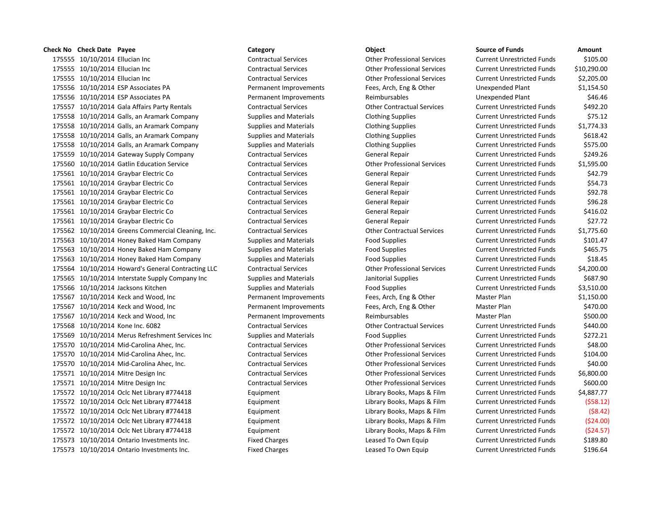10/10/2014 Ellucian Inc Contractual Services Other Professional Services Current Unrestricted Funds \$105.00 10/10/2014 Ellucian Inc Contractual Services Other Professional Services Current Unrestricted Funds \$10,290.00 10/10/2014 Ellucian Inc Contractual Services Other Professional Services Current Unrestricted Funds \$2,205.00 10/10/2014 ESP Associates PA Permanent Improvements Fees, Arch, Eng & Other Unexpended Plant \$1,154.50 10/10/2014 ESP Associates PA Permanent Improvements Reimbursables Unexpended Plant \$46.46 10/10/2014 Gala Affairs Party Rentals Contractual Services Other Contractual Services Current Unrestricted Funds \$492.20 10/10/2014 Galls, an Aramark Company Supplies and Materials Clothing Supplies Current Unrestricted Funds \$75.12 10/10/2014 Galls, an Aramark Company Supplies and Materials Clothing Supplies Current Unrestricted Funds \$1,774.33 175558 10/10/2014 Galls, an Aramark Company Supplies and Materials Clothing Supplies Current Unrestricted Funds \$618.42 175558 10/10/2014 Galls, an Aramark Company Supplies and Materials Clothing Supplies Current Unrestricted Funds \$575.00 175559 10/10/2014 Gateway Supply Company Contractual Services General Repair Current Unrestricted Funds \$249.26 10/10/2014 Gatlin Education Service Contractual Services Other Professional Services Current Unrestricted Funds \$1,595.00 10/10/2014 Graybar Electric Co Contractual Services General Repair Current Unrestricted Funds \$42.79 10/10/2014 Graybar Electric Co Contractual Services General Repair Current Unrestricted Funds \$54.73 10/10/2014 Graybar Electric Co Contractual Services General Repair Current Unrestricted Funds \$92.78 10/10/2014 Graybar Electric Co Contractual Services General Repair Current Unrestricted Funds \$96.28 10/10/2014 Graybar Electric Co Contractual Services General Repair Current Unrestricted Funds \$416.02 10/10/2014 Graybar Electric Co Contractual Services General Repair Current Unrestricted Funds \$27.72 10/10/2014 Greens Commercial Cleaning, Inc. Contractual Services Other Contractual Services Current Unrestricted Funds \$1,775.60 10/10/2014 Honey Baked Ham Company Supplies and Materials Food Supplies Current Unrestricted Funds \$101.47 10/10/2014 Honey Baked Ham Company Supplies and Materials Food Supplies Current Unrestricted Funds \$465.75 10/10/2014 Honey Baked Ham Company Supplies and Materials Food Supplies Current Unrestricted Funds \$18.45 10/10/2014 Howard's General Contracting LLC Contractual Services Other Professional Services Current Unrestricted Funds \$4,200.00 10/10/2014 Interstate Supply Company Inc Supplies and Materials Janitorial Supplies Current Unrestricted Funds \$687.90 10/10/2014 Jacksons Kitchen Supplies and Materials Food Supplies Current Unrestricted Funds \$3,510.00 10/10/2014 Keck and Wood, Inc Permanent Improvements Fees, Arch, Eng & Other Master Plan \$1,150.00 10/10/2014 Keck and Wood, Inc Permanent Improvements Fees, Arch, Eng & Other Master Plan \$470.00 175567 10/10/2014 Keck and Wood, Inc **Permanent Improvements** Reimbursables Master Plan 3500.00 10/10/2014 Kone Inc. 6082 Contractual Services Other Contractual Services Current Unrestricted Funds \$440.00 10/10/2014 Merus Refreshment Services Inc Supplies and Materials Food Supplies Current Unrestricted Funds \$272.21 10/10/2014 Mid-Carolina Ahec, Inc. Contractual Services Other Professional Services Current Unrestricted Funds \$48.00 10/10/2014 Mid-Carolina Ahec, Inc. Contractual Services Other Professional Services Current Unrestricted Funds \$104.00 10/10/2014 Mid-Carolina Ahec, Inc. Contractual Services Other Professional Services Current Unrestricted Funds \$40.00 10/10/2014 Mitre Design Inc Contractual Services Other Professional Services Current Unrestricted Funds \$6,800.00 10/10/2014 Mitre Design Inc Contractual Services Other Professional Services Current Unrestricted Funds \$600.00 10/10/2014 Oclc Net Library #774418 Equipment Library Books, Maps & Film Current Unrestricted Funds \$4,887.77 10/10/2014 Oclc Net Library #774418 Equipment Library Books, Maps & Film Current Unrestricted Funds (\$58.12) 10/10/2014 Oclc Net Library #774418 Equipment Library Books, Maps & Film Current Unrestricted Funds (\$8.42) 10/10/2014 Oclc Net Library #774418 Equipment Library Books, Maps & Film Current Unrestricted Funds (\$24.00) 10/10/2014 Oclc Net Library #774418 Equipment Library Books, Maps & Film Current Unrestricted Funds (\$24.57) 10/10/2014 Ontario Investments Inc. Fixed Charges Leased To Own Equip Current Unrestricted Funds \$189.80 10/10/2014 Ontario Investments Inc. Fixed Charges Leased To Own Equip Current Unrestricted Funds \$196.64

**Check No Check Date Payee Category Object Source of Funds Amount**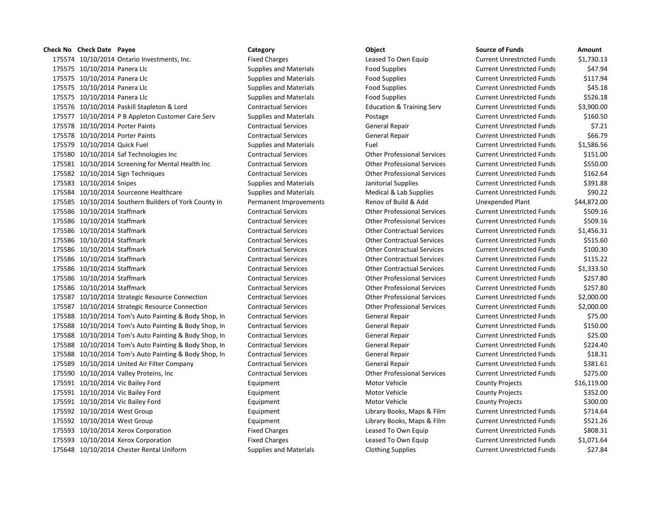175574 10/10/2014 Ontario Investments, Inc. Fixed Charges Leased To Own Equip 175575 10/10/2014 Panera Llc Supplies and Materials Food Supplies Current Engines Current Unrestricted Funds & 175575 10/10/2014 Panera Llc Supplies and Materials Food Supplies Current Engines Current Unrestricted Funds & 175575 10/10/2014 Panera Llc Supplies and Materials Food Supplies Current Engines Current Unrestricted Funds & 175575 10/10/2014 Panera Llc Supplies and Materials Food Supplies Current Publishing Funds & Food Supplies 175576 10/10/2014 Paskill Stapleton & Lord Contractual Services Education & Training Serv 175577 10/10/2014 P B Appleton Customer Care Serv Supplies and Materials Postage 175578 10/10/2014 Porter Paints **Contractual Services** General Repair Contractual Services 175578 10/10/2014 Porter Paints **CONTRACTER CONTRACTER CONTRACTER SERVICES** General Repair 175579 10/10/2014 Quick Fuel Supplies and Materials Fuel Current Unrestricted Funds \$1,586.56 175580 10/10/2014 Saf Technologies Inc Contractual Services Current Current Current Unrestricted Funds \$151.00 175581 10/10/2014 Screening for Mental Health Inc Contractual Services Current Current Professional Services 175582 10/10/2014 Sign Techniques Contractual Services Other Professional Services 175583 10/10/2014 Snipes Supplies Supplies and Materials Janitorial Supplies in the Unrestricted Funds & Supplies and Materials 175584 10/10/2014 Sourceone Healthcare Supplies and Materials Medical & Lab Supplies and Materials 175585 10/10/2014 Southern Builders of York County In Permanent Improvements Renov of Build & Add 175586 10/10/2014 Staffmark Contractual Services Contractual Services Current Current Unrestricted Funds \$500 175586 10/10/2014 Staffmark Contractual Services Contractual Services Current Professional Services 175586 10/10/2014 Staffmark Contractual Services Contractual Services Current Unrestricted Funds & 1,456.31 175586 10/10/2014 Staffmark Contractual Services Contractual Services Current Actual Services 175586 10/10/2014 Staffmark Contractual Services Contractual Services Current Current Unrestricted Services 175586 10/10/2014 Staffmark Contractual Services Contractual Services Other Contractual Services 175586 10/10/2014 Staffmark Contractual Services Contractual Services Other Contractual Services 175586 10/10/2014 Staffmark Contractual Services Contractual Services Current Current Unrestricted Funds & 25 175586 10/10/2014 Staffmark Contractual Services Contractual Services Current Current Unrestricted Funds \$257.800 175587 10/10/2014 Strategic Resource Connection Contractual Services Current Contractual Services Current Professional Services 175587 10/10/2014 Strategic Resource Connection Contractual Services Other Professional Services Current Unrestricted Funds \$2,000.00 175588 10/10/2014 Tom's Auto Painting & Body Shop, In Contractual Services General Repair 175588 10/10/2014 Tom's Auto Painting & Body Shop, In Contractual Services General Repair 175588 10/10/2014 Tom's Auto Painting & Body Shop, In Contractual Services General Repair 175588 10/10/2014 Tom's Auto Painting & Body Shop, In Contractual Services General Repair 175588 10/10/2014 Tom's Auto Painting & Body Shop, In Contractual Services General Repair 175589 10/10/2014 United Air Filter Company Contractual Services General Repair 175590 10/10/2014 Valley Proteins, Inc Contractual Services Current Current Current Current Unrestricted Funds 175591 10/10/2014 Vic Bailey Ford **Equipment** Equipment Motor Vehicle 175591 10/10/2014 Vic Bailey Ford **Equipment** Equipment Motor Vehicle 175591 10/10/2014 Vic Bailey Ford **Equipment** Equipment Motor Vehicle 175592 10/10/2014 West Group **Equipment** Equipment Library Books, Maps & Film 175592 10/10/2014 West Group **Equipment** Equipment Library Books, Maps & Film 175593 10/10/2014 Xerox Corporation **Fixed Charges** Fixed Charges Leased To Own Equip 175593 10/10/2014 Xerox Corporation Fixed Charges Fixed Charges Leased To Own Equip 175648 10/10/2014 Chester Rental Uniform Supplies and Materials Clothing Supplies Current Unrestricted Funds \$27.84

| <b>Source of Funds</b>            | Amount        |
|-----------------------------------|---------------|
| <b>Current Unrestricted Funds</b> | \$1,730.13    |
| <b>Current Unrestricted Funds</b> | \$47.94       |
| <b>Current Unrestricted Funds</b> | \$117.94      |
| <b>Current Unrestricted Funds</b> | \$45.18       |
| <b>Current Unrestricted Funds</b> | \$526.18      |
| <b>Current Unrestricted Funds</b> | \$3,900.00    |
| <b>Current Unrestricted Funds</b> | \$160.50      |
| <b>Current Unrestricted Funds</b> | \$7.21        |
| <b>Current Unrestricted Funds</b> | \$66.79       |
| <b>Current Unrestricted Funds</b> | \$1,586.56    |
| <b>Current Unrestricted Funds</b> | \$151.00      |
| <b>Current Unrestricted Funds</b> | \$550.00      |
| <b>Current Unrestricted Funds</b> | \$162.64      |
| <b>Current Unrestricted Funds</b> | \$391.88      |
| <b>Current Unrestricted Funds</b> | \$90.22       |
| <b>Unexpended Plant</b>           | \$44,872.00   |
| <b>Current Unrestricted Funds</b> | \$509.16      |
| <b>Current Unrestricted Funds</b> | \$509.16      |
| <b>Current Unrestricted Funds</b> | \$1,456.31    |
| <b>Current Unrestricted Funds</b> | \$515.60      |
| <b>Current Unrestricted Funds</b> | \$100.30      |
| <b>Current Unrestricted Funds</b> | \$115.22      |
| <b>Current Unrestricted Funds</b> | \$1,333.50    |
| <b>Current Unrestricted Funds</b> | \$257.80      |
| <b>Current Unrestricted Funds</b> | \$257.80      |
| <b>Current Unrestricted Funds</b> | \$2,000.00    |
| <b>Current Unrestricted Funds</b> | \$2,000.00    |
| <b>Current Unrestricted Funds</b> | \$75.00       |
| <b>Current Unrestricted Funds</b> | \$150.00      |
| <b>Current Unrestricted Funds</b> | \$25.00       |
| <b>Current Unrestricted Funds</b> | \$224.40      |
| <b>Current Unrestricted Funds</b> | \$18.31       |
| <b>Current Unrestricted Funds</b> | \$381.61      |
| <b>Current Unrestricted Funds</b> | \$275.00      |
| <b>County Projects</b>            | \$16,119.00   |
| <b>County Projects</b>            | \$352.00      |
| <b>County Projects</b>            | \$300.00      |
| <b>Current Unrestricted Funds</b> | \$714.64      |
| <b>Current Unrestricted Funds</b> | \$521.26      |
| <b>Current Unrestricted Funds</b> | \$808.31      |
| <b>Current Unrestricted Funds</b> | \$1,071.64    |
| Currant Unroctrictad Eunde        | <b>A פר</b> ל |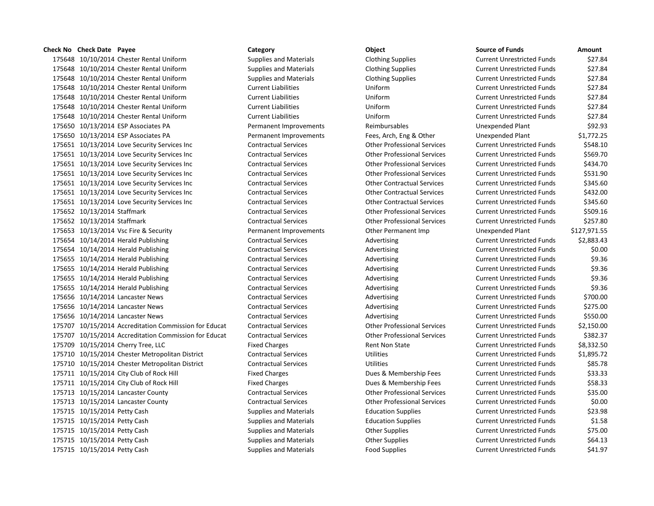175648 10/10/2014 Chester Rental Uniform Supplies and Materials Clothing Supplies 175648 10/10/2014 Chester Rental Uniform Supplies and Materials Clothing Supplies 175648 10/10/2014 Chester Rental Uniform Supplies and Materials Clothing Supplies 175648 10/10/2014 Chester Rental Uniform Current Liabilities Uniform Uniform 175648 10/10/2014 Chester Rental Uniform Current Liabilities Uniform Uniform 175648 10/10/2014 Chester Rental Uniform Current Liabilities Uniform Uniform 175648 10/10/2014 Chester Rental Uniform Current Liabilities Uniform Uniform 175650 10/13/2014 ESP Associates PA **Permanent Improvements** Reimbursables 175650 10/13/2014 ESP Associates PA **Permanent Improvements** Fees, Arch, Eng & Other 175651 10/13/2014 Love Security Services Inc Contractual Services Current Current Current Other Professional Services 175651 10/13/2014 Love Security Services Inc Contractual Services Current Current Current Other Professional Services 175651 10/13/2014 Love Security Services Inc Contractual Services Current Current Current Current Current Curr 175651 10/13/2014 Love Security Services Inc Contractual Services Current Current Current Unrestricted Funds \$ 175651 10/13/2014 Love Security Services Inc Contractual Services Current Contractual Services Current Unrestricted Funds \$3,600 Current Unrestricted Funds \$3,600 Current Units \$3,600 Current Units \$3,600 Current Units \$3, 175651 10/13/2014 Love Security Services Inc Contractual Services Current Contractual Services Current Unrestricted Funds \$432.000 Current Unrestricted Funds \$432.000 Current Unrestricted Funds \$432.000 Current Unrestricte 175651 10/13/2014 Love Security Services Inc Contractual Services Current Contractual Services Current Unrestricted Funds \$35.600 Current Units \$345.600 Current Units \$345.600 Current Units \$345.600 Current Units \$345.600 175652 10/13/2014 Staffmark Contractual Services Contractual Services Current Current Unrestricted Funds \$500 175652 10/13/2014 Staffmark Contractual Services Contractual Services Current Unrestricted Funds & 2016 175653 10/13/2014 Vsc Fire & Security **Permanent Improvements** Other Permanent Imp 175654 10/14/2014 Herald Publishing Contractual Services Advertising Advertising 175654 10/14/2014 Herald Publishing Contractual Services Advertising Advertising 175655 10/14/2014 Herald Publishing Contractual Services Advertising Advertising 175655 10/14/2014 Herald Publishing Contractual Services Advertising Advertising 175655 10/14/2014 Herald Publishing Contractual Services Advertising Advertising 175655 10/14/2014 Herald Publishing Contractual Services Advertising Advertising 175656 10/14/2014 Lancaster News Contractual Services Advertising Advertising 175656 10/14/2014 Lancaster News Contractual Services Advertising Advertising 175656 10/14/2014 Lancaster News Contractual Services Advertising Advertising 175707 10/15/2014 Accreditation Commission for Educat Contractual Services Other Professional Services 175707 10/15/2014 Accreditation Commission for Educat Contractual Services Other Professional Services 175709 10/15/2014 Cherry Tree, LLC **Fixed Charges** Fixed Charges Rent Non State 175710 10/15/2014 Chester Metropolitan District Contractual Services Utilities Utilities 175710 10/15/2014 Chester Metropolitan District Contractual Services Utilities Utilities 175711 10/15/2014 City Club of Rock Hill Fixed Charges Fixed Charges Dues & Membership Fees 175711 10/15/2014 City Club of Rock Hill Fixed Charges Fixed Charges Dues & Membership Fees 175713 10/15/2014 Lancaster County Contractual Services Other Professional Services 175713 10/15/2014 Lancaster County Contractual Services Contractual Services Current Unrestricted Funds \$0.000 175715 10/15/2014 Petty Cash Supplies and Materials Education Supplies Current Unrestricted Funds & 23.988 175715 10/15/2014 Petty Cash Supplies and Materials Education Supplies Current Unrestricted Funds & Latin Curr 175715 10/15/2014 Petty Cash Supplies and Materials Current Other Supplies Current Unrestricted Funds & Table 175715 10/15/2014 Petty Cash Supplies and Materials Current Other Supplies 175715 10/15/2014 Petty Cash Supplies and Materials Food Supplies Food Supplies Current Unrestricted Funds \$41.97

| <b>Source of Funds</b>            | Amount       |
|-----------------------------------|--------------|
| <b>Current Unrestricted Funds</b> | \$27.84      |
| <b>Current Unrestricted Funds</b> | \$27.84      |
| <b>Current Unrestricted Funds</b> | \$27.84      |
| <b>Current Unrestricted Funds</b> | \$27.84      |
| <b>Current Unrestricted Funds</b> | \$27.84      |
| <b>Current Unrestricted Funds</b> | \$27.84      |
| <b>Current Unrestricted Funds</b> | \$27.84      |
| <b>Unexpended Plant</b>           | \$92.93      |
| <b>Unexpended Plant</b>           | \$1,772.25   |
| <b>Current Unrestricted Funds</b> | \$548.10     |
| <b>Current Unrestricted Funds</b> | \$569.70     |
| <b>Current Unrestricted Funds</b> | \$434.70     |
| <b>Current Unrestricted Funds</b> | \$531.90     |
| <b>Current Unrestricted Funds</b> | \$345.60     |
| <b>Current Unrestricted Funds</b> | \$432.00     |
| <b>Current Unrestricted Funds</b> | \$345.60     |
| <b>Current Unrestricted Funds</b> | \$509.16     |
| <b>Current Unrestricted Funds</b> | \$257.80     |
| <b>Unexpended Plant</b>           | \$127,971.55 |
| <b>Current Unrestricted Funds</b> | \$2,883.43   |
| <b>Current Unrestricted Funds</b> | \$0.00       |
| <b>Current Unrestricted Funds</b> | \$9.36       |
| <b>Current Unrestricted Funds</b> | \$9.36       |
| <b>Current Unrestricted Funds</b> | \$9.36       |
| <b>Current Unrestricted Funds</b> | \$9.36       |
| <b>Current Unrestricted Funds</b> | \$700.00     |
| <b>Current Unrestricted Funds</b> | \$275.00     |
| <b>Current Unrestricted Funds</b> | \$550.00     |
| <b>Current Unrestricted Funds</b> | \$2,150.00   |
| <b>Current Unrestricted Funds</b> | \$382.37     |
| <b>Current Unrestricted Funds</b> | \$8,332.50   |
| <b>Current Unrestricted Funds</b> | \$1,895.72   |
| <b>Current Unrestricted Funds</b> | \$85.78      |
| <b>Current Unrestricted Funds</b> | \$33.33      |
| <b>Current Unrestricted Funds</b> | \$58.33      |
| <b>Current Unrestricted Funds</b> | \$35.00      |
| <b>Current Unrestricted Funds</b> | \$0.00       |
| <b>Current Unrestricted Funds</b> | \$23.98      |
| <b>Current Unrestricted Funds</b> | \$1.58       |
| <b>Current Unrestricted Funds</b> | \$75.00      |
| <b>Current Unrestricted Funds</b> | \$64.13      |
| Currant Unractrictad Eunde        | <b>CA107</b> |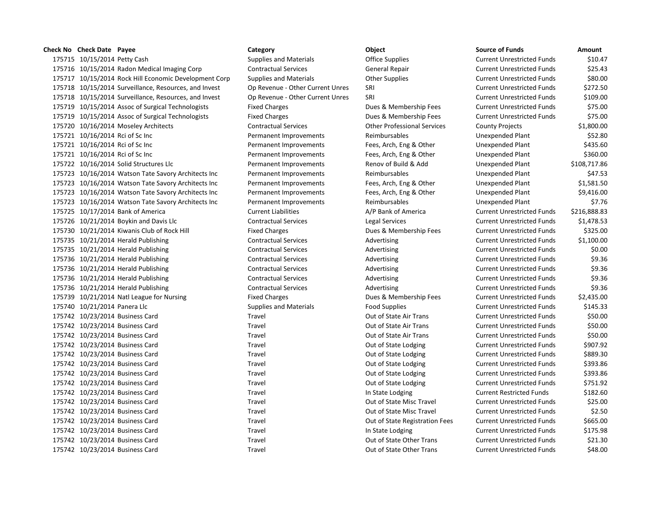175715 10/15/2014 Petty Cash Supplies and Materials Christen Office Supplies Current Unrestricted Funds & 10.4 175716 10/15/2014 Radon Medical Imaging Corp Contractual Services General Repair 175717 10/15/2014 Rock Hill Economic Development Corp Supplies and Materials Current Current Current Unrestrict 175718 10/15/2014 Surveillance, Resources, and Invest Op Revenue - Other Current Unres SRI 175718 10/15/2014 Surveillance, Resources, and Invest Op Revenue - Other Current Unres SRI 175719 10/15/2014 Assoc of Surgical Technologists Fixed Charges Funds bues & Membership Fees 175719 10/15/2014 Assoc of Surgical Technologists Fixed Charges Funds bues & Membership Fees 175720 10/16/2014 Moseley Architects Contractual Services Contractual Services Contemporary Contemporary Professional Services 175721 10/16/2014 Rci of Sc Inc **Permanent Improvements** Reimbursables 175721 10/16/2014 Rci of Sc Inc **Permanent Improvements** Fees, Arch, Eng & Other Fees, Arch, Eng & Other 175721 10/16/2014 Rci of Sc Inc **Permanent Improvements** Fees, Arch, Eng & Other Fees, Arch, Eng & Other 175722 10/16/2014 Solid Structures Llc **Permanent Improvements** Renov of Build & Add 175723 10/16/2014 Watson Tate Savory Architects Inc Permanent Improvements Reimbursables 175723 10/16/2014 Watson Tate Savory Architects Inc Permanent Improvements Fees, Arch, Eng & Other 175723 10/16/2014 Watson Tate Savory Architects Inc Permanent Improvements Fees, Arch, Eng & Other 175723 10/16/2014 Watson Tate Savory Architects Inc Permanent Improvements Reimbursables 175725 10/17/2014 Bank of America Current Liabilities A/P Bank of America Current Liabilities 175726 10/21/2014 Boykin and Davis Llc Contractual Services Legal Services 175730 10/21/2014 Kiwanis Club of Rock Hill Fixed Charges Dues & Membership Fees 175735 10/21/2014 Herald Publishing Contractual Services Advertising Advertising 175735 10/21/2014 Herald Publishing Contractual Services Advertising Advertising 175736 10/21/2014 Herald Publishing Contractual Services Advertising Advertising 175736 10/21/2014 Herald Publishing Contractual Services Advertising Advertising 175736 10/21/2014 Herald Publishing Contractual Services Advertising Advertising 175736 10/21/2014 Herald Publishing Contractual Services Advertising Advertising 175739 10/21/2014 Natl League for Nursing Fixed Charges Dues & Membership Fees 175740 10/21/2014 Panera Llc Supplies and Materials Food Supplies Current Publishing Funds & Tool Supplies and Materials 175742 10/23/2014 Business Card Travel Travel Travel Cut of State Air Trans 175742 10/23/2014 Business Card Travel Travel Travel Cut of State Air Trans 175742 10/23/2014 Business Card Travel Travel Travel Cut of State Air Trans 175742 10/23/2014 Business Card **Current Current Current Current Current Current Current Current Current Current Current Current Current Out of State Lodging Current Current Current Current Current Current Current Current** 175742 10/23/2014 Business Card Travel Travel Cutrent Current Out of State Lodging 175742 10/23/2014 Business Card Travel Travel Cutrent Current Out of State Lodging 175742 10/23/2014 Business Card **Current Current Current Current Current Current Current Current University** Current Out of State Lodging 175742 10/23/2014 Business Card Travel Travel Cutrent Current Out of State Lodging 175742 10/23/2014 Business Card Travel Travel In State Lodging Current Restricted Funds \$182.600 in State Lodging 175742 10/23/2014 Business Card Travel Travel Current Current Out of State Misc Travel 175742 10/23/2014 Business Card Travel Travel Cut of State Misc Travel 175742 10/23/2014 Business Card Travel Travel Cutrent Cutrent Cutrent Cutrent Cutrent Current Current Current Current Current Current Out of State Registration Fees 175742 10/23/2014 Business Card Travel Travel In State Lodging Current Unrestricted Funds \$175.988. 175742 10/23/2014 Business Card Travel Travel Travel Cut of State Other Trans 175742 10/23/2014 Business Card Travel Travel Travel Out of State Other Trans Current Unrestricted Funds \$48.00

| <b>Source of Funds</b>            | Amount       |
|-----------------------------------|--------------|
| <b>Current Unrestricted Funds</b> | \$10.47      |
| <b>Current Unrestricted Funds</b> | \$25.43      |
| <b>Current Unrestricted Funds</b> | \$80.00      |
| <b>Current Unrestricted Funds</b> | \$272.50     |
| <b>Current Unrestricted Funds</b> | \$109.00     |
| <b>Current Unrestricted Funds</b> | \$75.00      |
| <b>Current Unrestricted Funds</b> | \$75.00      |
| <b>County Projects</b>            | \$1,800.00   |
| <b>Unexpended Plant</b>           | \$52.80      |
| <b>Unexpended Plant</b>           | \$435.60     |
| <b>Unexpended Plant</b>           | \$360.00     |
| Unexpended Plant                  | \$108,717.86 |
| <b>Unexpended Plant</b>           | \$47.53      |
| <b>Unexpended Plant</b>           | \$1,581.50   |
| <b>Unexpended Plant</b>           | \$9,416.00   |
| <b>Unexpended Plant</b>           | \$7.76       |
| <b>Current Unrestricted Funds</b> | \$216,888.83 |
| <b>Current Unrestricted Funds</b> | \$1,478.53   |
| <b>Current Unrestricted Funds</b> | \$325.00     |
| <b>Current Unrestricted Funds</b> | \$1,100.00   |
| <b>Current Unrestricted Funds</b> | \$0.00       |
| <b>Current Unrestricted Funds</b> | \$9.36       |
| <b>Current Unrestricted Funds</b> | \$9.36       |
| <b>Current Unrestricted Funds</b> | \$9.36       |
| <b>Current Unrestricted Funds</b> | \$9.36       |
| <b>Current Unrestricted Funds</b> | \$2,435.00   |
| <b>Current Unrestricted Funds</b> | \$145.33     |
| <b>Current Unrestricted Funds</b> | \$50.00      |
| <b>Current Unrestricted Funds</b> | \$50.00      |
| <b>Current Unrestricted Funds</b> | \$50.00      |
| <b>Current Unrestricted Funds</b> | \$907.92     |
| <b>Current Unrestricted Funds</b> | \$889.30     |
| <b>Current Unrestricted Funds</b> | \$393.86     |
| <b>Current Unrestricted Funds</b> | \$393.86     |
| <b>Current Unrestricted Funds</b> | \$751.92     |
| <b>Current Restricted Funds</b>   | \$182.60     |
| <b>Current Unrestricted Funds</b> | \$25.00      |
| <b>Current Unrestricted Funds</b> | \$2.50       |
| <b>Current Unrestricted Funds</b> | \$665.00     |
| <b>Current Unrestricted Funds</b> | \$175.98     |
| <b>Current Unrestricted Funds</b> | \$21.30      |
|                                   |              |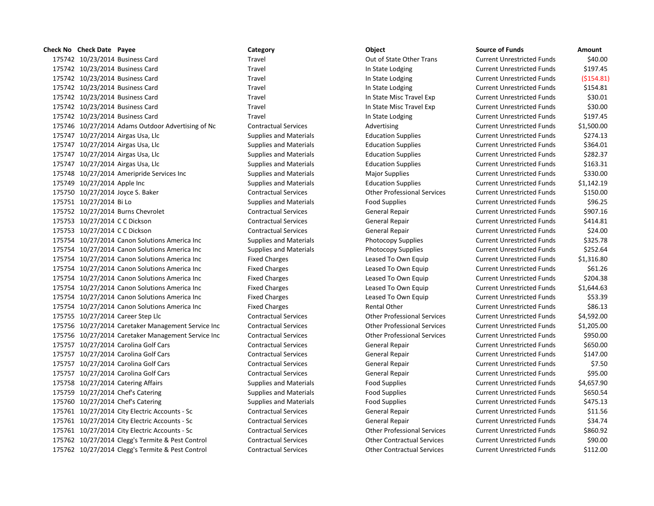10/23/2014 Business Card Travel Out of State Other Trans Current Unrestricted Funds \$40.00 10/23/2014 Business Card Travel In State Lodging Current Unrestricted Funds \$197.45 10/23/2014 Business Card Travel In State Lodging Current Unrestricted Funds (\$154.81) 175742 10/23/2014 Business Card Travel Travel Travel In State Lodging Current Unrestricted Funds \$154.81 10/23/2014 Business Card Travel In State Misc Travel Exp Current Unrestricted Funds \$30.01 10/23/2014 Business Card Travel In State Misc Travel Exp Current Unrestricted Funds \$30.00 10/23/2014 Business Card Travel In State Lodging Current Unrestricted Funds \$197.45 10/27/2014 Adams Outdoor Advertising of Nc Contractual Services Advertising Current Unrestricted Funds \$1,500.00 10/27/2014 Airgas Usa, Llc Supplies and Materials Education Supplies Current Unrestricted Funds \$274.13 175747 10/27/2014 Airgas Usa, Llc Supplies and Materials Education Supplies Current Unrestricted Funds \$364.01 10/27/2014 Airgas Usa, Llc Supplies and Materials Education Supplies Current Unrestricted Funds \$282.37 175747 10/27/2014 Airgas Usa, Llc Supplies and Materials Education Supplies Current Unrestricted Funds \$163.31 175748 10/27/2014 Ameripride Services Inc **Supplies and Materials Major Supplies** Major Supplies Current Unrestricted Funds \$330.00 10/27/2014 Apple Inc Supplies and Materials Education Supplies Current Unrestricted Funds \$1,142.19 10/27/2014 Joyce S. Baker Contractual Services Other Professional Services Current Unrestricted Funds \$150.00 10/27/2014 Bi Lo Supplies and Materials Food Supplies Current Unrestricted Funds \$96.25 175752 10/27/2014 Burns Chevrolet Contractual Services General Repair General Repair Current Unrestricted Funds \$907.16 175753 10/27/2014 C C Dickson Contractual Services General Repair Current Unrestricted Funds \$414.81 10/27/2014 C C Dickson Contractual Services General Repair Current Unrestricted Funds \$24.00 10/27/2014 Canon Solutions America Inc Supplies and Materials Photocopy Supplies Current Unrestricted Funds \$325.78 10/27/2014 Canon Solutions America Inc Supplies and Materials Photocopy Supplies Current Unrestricted Funds \$252.64 10/27/2014 Canon Solutions America Inc Fixed Charges Leased To Own Equip Current Unrestricted Funds \$1,316.80 175754 10/27/2014 Canon Solutions America Inc Fixed Charges Leased To Own Equip Current Unrestricted Funds \$61.26 10/27/2014 Canon Solutions America Inc Fixed Charges Leased To Own Equip Current Unrestricted Funds \$204.38 10/27/2014 Canon Solutions America Inc Fixed Charges Leased To Own Equip Current Unrestricted Funds \$1,644.63 10/27/2014 Canon Solutions America Inc Fixed Charges Leased To Own Equip Current Unrestricted Funds \$53.39 175754 10/27/2014 Canon Solutions America Inc Fixed Charges Rental Other Rental Other Current Unrestricted Funds \$86.13 10/27/2014 Career Step Llc Contractual Services Other Professional Services Current Unrestricted Funds \$4,592.00 10/27/2014 Caretaker Management Service Inc Contractual Services Other Professional Services Current Unrestricted Funds \$1,205.00 10/27/2014 Caretaker Management Service Inc Contractual Services Other Professional Services Current Unrestricted Funds \$950.00 175757 10/27/2014 Carolina Golf Cars Contractual Services General Repair Current Unrestricted Funds 5650.00 175757 10/27/2014 Carolina Golf Cars Contractual Services General Repair Current Unrestricted Funds \$147.00 175757 10/27/2014 Carolina Golf Cars Contractual Services General Repair Current Unrestricted Funds \$7.50 175757 10/27/2014 Carolina Golf Cars Contractual Services General Repair Current Unrestricted Funds 595.00 10/27/2014 Catering Affairs Supplies and Materials Food Supplies Current Unrestricted Funds \$4,657.90 175759 10/27/2014 Chef's Catering The Supplies and Materials Food Supplies Current Unrestricted Funds \$650.54 175760 10/27/2014 Chef's Catering The Supplies and Materials Food Supplies Current Unrestricted Funds \$475.13 10/27/2014 City Electric Accounts - Sc Contractual Services General Repair Current Unrestricted Funds \$11.56 10/27/2014 City Electric Accounts - Sc Contractual Services General Repair Current Unrestricted Funds \$34.74 10/27/2014 City Electric Accounts - Sc Contractual Services Other Professional Services Current Unrestricted Funds \$860.92 10/27/2014 Clegg's Termite & Pest Control Contractual Services Other Contractual Services Current Unrestricted Funds \$90.00 10/27/2014 Clegg's Termite & Pest Control Contractual Services Other Contractual Services Current Unrestricted Funds \$112.00

# **Check No Check Date Payee Category Object Source of Funds Amount**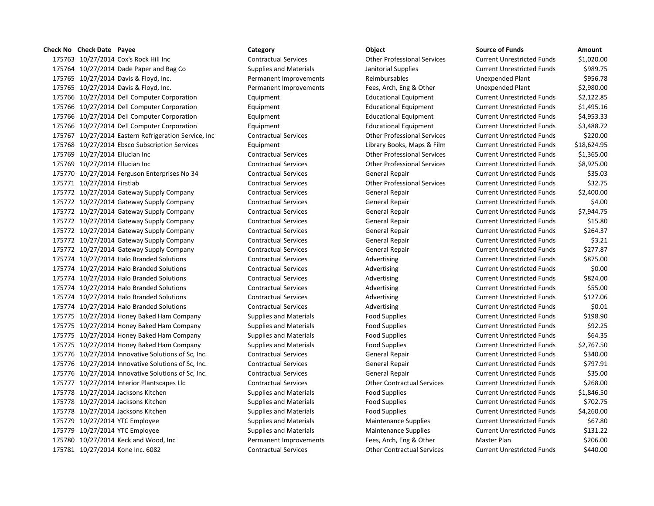# **Check No Check Date Payee Category Object Source of Funds Amount**

175763 10/27/2014 Cox's Rock Hill Inc Contractual Services Other Professional Services Cu 175764 10/27/2014 Dade Paper and Bag Co Supplies and Materials Janitorial Supplies Current Current Cu 175765 10/27/2014 Davis & Floyd, Inc. The Permanent Improvements Reimbursables Plant & Unexpended Plant & Plan 175765 10/27/2014 Davis & Floyd, Inc. Permanent Improvements Fees, Arch, Eng & Other Unexpended Plant \$2,980.000 175766 10/27/2014 Dell Computer Corporation **Equipment** Equipment Educational Equipment Cu 175766 10/27/2014 Dell Computer Corporation **Equipment** Equipment Educational Equipment Cu 175766 10/27/2014 Dell Computer Corporation **Equipment** Equipment Educational Equipment Cu 175766 10/27/2014 Dell Computer Corporation **Equipment** Equipment Educational Equipment Cu 175767 10/27/2014 Eastern Refrigeration Service, Inc Contractual Services Other Professional Services Current Unrestricted Funds \$220.00 175768 10/27/2014 Ebsco Subscription Services Equipment Equipment Library Books, Maps & Film Cu 175769 10/27/2014 Ellucian Inc Contractual Services Current Contractual Services Current Unrestricted Funds \$1,365.000 175769 10/27/2014 Ellucian Inc Contractual Services Current Contractual Services Current Unrestricted Funds \$8,925 175770 10/27/2014 Ferguson Enterprises No 34 Contractual Services General Repair Current Unrestricted Funds \$3 175771 10/27/2014 Firstlab Contractual Services Current Contractual Services Current Unit Unrestricted Funds \$ 175772 10/27/2014 Gateway Supply Company Contractual Services General Repair Current Unrestricted Funds \$2,400.00 175772 10/27/2014 Gateway Supply Company Contractual Services General Repair Current Unrestricted Funds \$4.000 175772 10/27/2014 Gateway Supply Company Contractual Services General Repair Current Current Current Current O 175772 10/27/2014 Gateway Supply Company Contractual Services General Repair Current Unrestricted Funds \$15.800 175772 10/27/2014 Gateway Supply Company Contractual Services General Repair Current Unrestricted Funds \$264.37 175772 10/27/2014 Gateway Supply Company Contractual Services General Repair Current Unrestricted Funds \$3.21 175772 10/27/2014 Gateway Supply Company Contractual Services General Repair Current Unrestricted Funds \$277.8 175774 10/27/2014 Halo Branded Solutions Contractual Services Advertising Advertising Cu 175774 10/27/2014 Halo Branded Solutions Contractual Services Advertising Advertising Cu 175774 10/27/2014 Halo Branded Solutions Contractual Services Advertising Current Current Current Cu 175774 10/27/2014 Halo Branded Solutions Contractual Services Advertising Advertising Cu 175774 10/27/2014 Halo Branded Solutions Contractual Services Advertising Advertising Cu 175774 10/27/2014 Halo Branded Solutions Contractual Services Advertising Advertising Cu 175775 10/27/2014 Honey Baked Ham Company Supplies and Materials Food Supplies Food Supplies Cu 175775 10/27/2014 Honey Baked Ham Company Supplies and Materials Food Supplies Food Supplies Cu 175775 10/27/2014 Honey Baked Ham Company Supplies and Materials Food Supplies Food Supplies Cu 175775 10/27/2014 Honey Baked Ham Company Supplies and Materials Food Supplies Food Supplies Cu 175776 10/27/2014 Innovative Solutions of Sc, Inc. Contractual Services General Repair Current Unrestricted Funds \$340.00 175776 10/27/2014 Innovative Solutions of Sc, Inc. Contractual Services General Repair Current Unrestricted Funds \$797.91 175776 10/27/2014 Innovative Solutions of Sc, Inc. Contractual Services General Repair Current Unrestricted Funds \$35.000 Cu 175777 10/27/2014 Interior Plantscapes Llc Contractual Services Current Contractual Services Cu 175778 10/27/2014 Jacksons Kitchen Supplies and Materials Food Supplies Food Supplies Cu 175778 10/27/2014 Jacksons Kitchen Supplies and Materials Food Supplies Food Supplies Cu 175778 10/27/2014 Jacksons Kitchen Supplies and Materials Food Supplies Food Supplies Cu 175779 10/27/2014 YTC Employee Supplies Supplies and Materials Maintenance Supplies Current Current Cu 175779 10/27/2014 YTC Employee Supplies Supplies and Materials Maintenance Supplies Current Current Current Cu 175780 10/27/2014 Keck and Wood, Inc **Permanent Improvements** Fees, Arch, Eng & Other Master Plan & Other Master Plan & Other Master Plan & Other Master Plan & Other Master Plan & Other Master Plan & Other Master Plan & Ot 175781 10/27/2014 Kone Inc. 6082 Contractual Services Other Contractual Services Current Unrestricted Funds \$440.00

| ırrent Unrestricted Funds        | \$1,020.00  |
|----------------------------------|-------------|
| irrent Unrestricted Funds        | \$989.75    |
| nexpended Plant                  | \$956.78    |
| nexpended Plant                  | \$2,980.00  |
| irrent Unrestricted Funds        | \$2,122.85  |
| <b>Irrent Unrestricted Funds</b> | \$1,495.16  |
| <b>Irrent Unrestricted Funds</b> | \$4,953.33  |
| irrent Unrestricted Funds        | \$3,488.72  |
| irrent Unrestricted Funds        | \$220.00    |
| <b>Irrent Unrestricted Funds</b> | \$18,624.95 |
| irrent Unrestricted Funds        | \$1,365.00  |
| <b>Irrent Unrestricted Funds</b> | \$8,925.00  |
| <b>Irrent Unrestricted Funds</b> | \$35.03     |
| irrent Unrestricted Funds        | \$32.75     |
| irrent Unrestricted Funds        | \$2,400.00  |
| <b>Irrent Unrestricted Funds</b> | \$4.00      |
| <b>Irrent Unrestricted Funds</b> | \$7,944.75  |
| <b>Irrent Unrestricted Funds</b> | \$15.80     |
| <b>Irrent Unrestricted Funds</b> | \$264.37    |
| <b>Irrent Unrestricted Funds</b> | \$3.21      |
| irrent Unrestricted Funds        | \$277.87    |
| irrent Unrestricted Funds        | \$875.00    |
| irrent Unrestricted Funds        | \$0.00      |
| <b>Irrent Unrestricted Funds</b> | \$824.00    |
| <b>Irrent Unrestricted Funds</b> | \$55.00     |
| <b>Irrent Unrestricted Funds</b> | \$127.06    |
| irrent Unrestricted Funds        | \$0.01      |
| <b>Irrent Unrestricted Funds</b> | \$198.90    |
| irrent Unrestricted Funds        | \$92.25     |
| <b>Irrent Unrestricted Funds</b> | \$64.35     |
| <b>Irrent Unrestricted Funds</b> | \$2,767.50  |
| <b>Irrent Unrestricted Funds</b> | \$340.00    |
| irrent Unrestricted Funds        | \$797.91    |
| irrent Unrestricted Funds        | \$35.00     |
| ırrent Unrestricted Funds        | \$268.00    |
| irrent Unrestricted Funds        | \$1,846.50  |
| <b>Irrent Unrestricted Funds</b> | \$702.75    |
| <b>Irrent Unrestricted Funds</b> | \$4,260.00  |
| <b>Irrent Unrestricted Funds</b> | \$67.80     |
| <b>Irrent Unrestricted Funds</b> | \$131.22    |
| aster Plan                       | \$206.00    |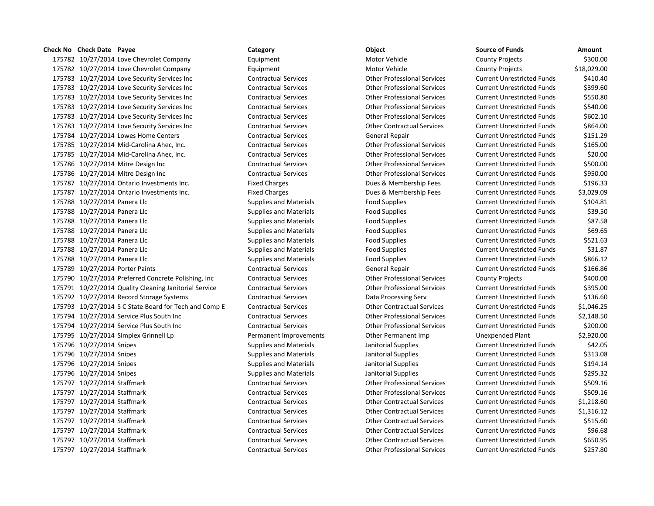175782 10/27/2014 Love Chevrolet Company Fquipment Equipment Motor Vehicle 175782 10/27/2014 Love Chevrolet Company **Equipment** Equipment Motor Vehicle 175783 10/27/2014 Love Security Services Inc Contractual Services Current Current Current Current Unrestricted Funds \$410.400.400 Current Unrestricted Funds \$410.400.400 Current Units \$410.400 Current Unrestricted Funds \$4 175783 10/27/2014 Love Security Services Inc Contractual Services Current Current Current Other Professional Services 175783 10/27/2014 Love Security Services Inc Contractual Services Other Professional Services Current Unrestricted Funds \$550.80 175783 10/27/2014 Love Security Services Inc Contractual Services Current Current Current Current Unrestricted Funds \$540.000 Current Unrestricted Funds \$540.000 Current Units \$540.000 Current Units \$54.000 Current Units \$ 175783 10/27/2014 Love Security Services Inc Contractual Services Current Current Current Other Professional Services 175783 10/27/2014 Love Security Services Inc Contractual Services Current Contractual Services Current Unrestricted Funds \$86.000 Current Unrestricted Funds \$86.000 Current Units \$86.000 Current Units \$86.000 Current Units 175784 10/27/2014 Lowes Home Centers Contractual Services General Repair 175785 10/27/2014 Mid-Carolina Ahec, Inc. Contractual Services Other Professional Services 175785 10/27/2014 Mid-Carolina Ahec, Inc. Contractual Services Other Professional Services 175786 10/27/2014 Mitre Design Inc Contractual Services Current Current Current Other Professional Services 175786 10/27/2014 Mitre Design Inc Contractual Services Other Professional Services 175787 10/27/2014 Ontario Investments Inc. Fixed Charges Dues & Membership Fees 175787 10/27/2014 Ontario Investments Inc. Fixed Charges Dues & Membership Fees 175788 10/27/2014 Panera Llc Supplies and Materials Food Supplies Current Engines Current Unrestricted Funds & 175788 10/27/2014 Panera Llc Supplies and Materials Food Supplies Current Engines Current Unrestricted Funds & 175788 10/27/2014 Panera Llc Supplies and Materials Food Supplies Current Engines Current Unrestricted Funds & 175788 10/27/2014 Panera Llc Supplies and Materials Food Supplies Current Publishing Funds & Funds & Funds & Funds & Funds & Funds & Funds & Funds & Funds & Funds & Funds & Funds & Funds & Funds & Funds & Funds & Funds & F 175788 10/27/2014 Panera Llc Supplies and Materials Food Supplies Current Unrestricted Funds \$500 Supplies and Materials 175788 10/27/2014 Panera Llc Supplies and Materials Food Supplies Current Publishing Funds & Supplies and Materials 175788 10/27/2014 Panera Llc Supplies and Materials Food Supplies Current Engines Current Unrestricted Funds & 175789 10/27/2014 Porter Paints Contractual Services General Repair Contractual Services 175790 10/27/2014 Preferred Concrete Polishing, Inc Contractual Services Contractual Services Contractual Services 175791 10/27/2014 Quality Cleaning Janitorial Service Contractual Services Contractual Services Current Professional Services 175792 10/27/2014 Record Storage Systems Contractual Services Data Processing Serv 175793 10/27/2014 S C State Board for Tech and Comp E Contractual Services Other Contractual Services 175794 10/27/2014 Service Plus South Inc Contractual Services Current Current Other Professional Services 175794 10/27/2014 Service Plus South Inc Contractual Services Other Professional Services 175795 10/27/2014 Simplex Grinnell Lp **Permanent Improvements** Other Permanent Imp 175796 10/27/2014 Snipes Supplies and Materials Janitorial Supplies and Materials Janitorial Supplies 175796 10/27/2014 Snipes Supplies Supplies and Materials Janitorial Supplies **1813.08** 175796 10/27/2014 Snipes Supplies and Materials Janitorial Supplies and Materials Janitorial Supplies 175796 10/27/2014 Snipes Supplies and Materials Janitorial Supplies and Materials Janitorial Supplies 175797 10/27/2014 Staffmark Contractual Services Contractual Services Current Current Unrestricted Funds \$500 175797 10/27/2014 Staffmark Contractual Services Contractual Services Current Current Unrestricted Funds \$500 175797 10/27/2014 Staffmark Contractual Services Other Contractual Services Current Unrestricted Funds \$1,218.600 175797 10/27/2014 Staffmark Contractual Services Other Contractual Services Current Unrestricted Funds \$1,316.1 175797 10/27/2014 Staffmark Contractual Services Contractual Services Current Actual Services 175797 10/27/2014 Staffmark Contractual Services Contractual Services Other Contractual Services 175797 10/27/2014 Staffmark Contractual Services Contractual Services Other Contractual Services 175797 10/27/2014 Staffmark Contractual Services Other Professional Services Current Unrestricted Funds \$257.80

| <b>Source of Funds</b>            | Amount      |
|-----------------------------------|-------------|
| <b>County Projects</b>            | \$300.00    |
| <b>County Projects</b>            | \$18,029.00 |
| <b>Current Unrestricted Funds</b> | \$410.40    |
| <b>Current Unrestricted Funds</b> | \$399.60    |
| <b>Current Unrestricted Funds</b> | \$550.80    |
| <b>Current Unrestricted Funds</b> | \$540.00    |
| <b>Current Unrestricted Funds</b> | \$602.10    |
| <b>Current Unrestricted Funds</b> | \$864.00    |
| <b>Current Unrestricted Funds</b> | \$151.29    |
| <b>Current Unrestricted Funds</b> | \$165.00    |
| <b>Current Unrestricted Funds</b> | \$20.00     |
| <b>Current Unrestricted Funds</b> | \$500.00    |
| <b>Current Unrestricted Funds</b> | \$950.00    |
| <b>Current Unrestricted Funds</b> | \$196.33    |
| <b>Current Unrestricted Funds</b> | \$3,029.09  |
| <b>Current Unrestricted Funds</b> | \$104.81    |
| <b>Current Unrestricted Funds</b> | \$39.50     |
| <b>Current Unrestricted Funds</b> | \$87.58     |
| <b>Current Unrestricted Funds</b> | \$69.65     |
| <b>Current Unrestricted Funds</b> | \$521.63    |
| <b>Current Unrestricted Funds</b> | \$31.87     |
| <b>Current Unrestricted Funds</b> | \$866.12    |
| <b>Current Unrestricted Funds</b> | \$166.86    |
| <b>County Projects</b>            | \$400.00    |
| <b>Current Unrestricted Funds</b> | \$395.00    |
| <b>Current Unrestricted Funds</b> | \$136.60    |
| <b>Current Unrestricted Funds</b> | \$1,046.25  |
| <b>Current Unrestricted Funds</b> | \$2,148.50  |
| <b>Current Unrestricted Funds</b> | \$200.00    |
| <b>Unexpended Plant</b>           | \$2,920.00  |
| <b>Current Unrestricted Funds</b> | \$42.05     |
| <b>Current Unrestricted Funds</b> | \$313.08    |
| <b>Current Unrestricted Funds</b> | \$194.14    |
| <b>Current Unrestricted Funds</b> | \$295.32    |
| <b>Current Unrestricted Funds</b> | \$509.16    |
| <b>Current Unrestricted Funds</b> | \$509.16    |
| <b>Current Unrestricted Funds</b> | \$1,218.60  |
| <b>Current Unrestricted Funds</b> | \$1,316.12  |
| <b>Current Unrestricted Funds</b> | \$515.60    |
| <b>Current Unrestricted Funds</b> | \$96.68     |
| <b>Current Unrestricted Funds</b> | \$650.95    |
|                                   |             |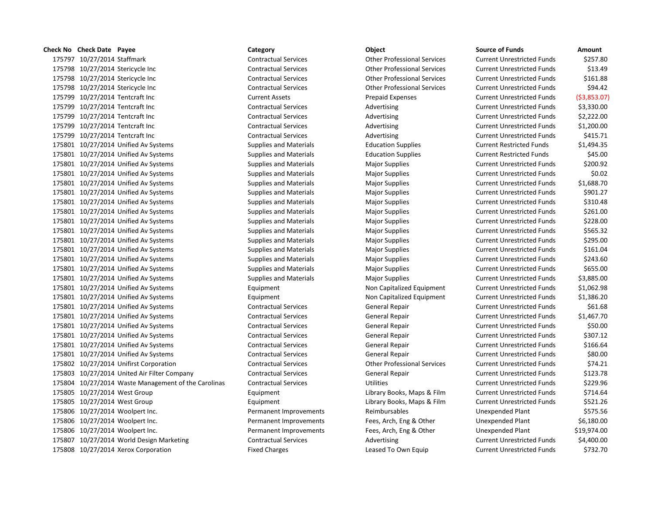**Check No Check Date Payee Category Object Source of Funds Amount** 10/27/2014 Staffmark Contractual Services Other Professional Services Current Unrestricted Funds \$257.80 10/27/2014 Stericycle Inc Contractual Services Other Professional Services Current Unrestricted Funds \$13.49 10/27/2014 Stericycle Inc Contractual Services Other Professional Services Current Unrestricted Funds \$161.88 10/27/2014 Stericycle Inc Contractual Services Other Professional Services Current Unrestricted Funds \$94.42 10/27/2014 Tentcraft Inc Current Assets Prepaid Expenses Current Unrestricted Funds (\$3,853.07) 10/27/2014 Tentcraft Inc Contractual Services Advertising Current Unrestricted Funds \$3,330.00 10/27/2014 Tentcraft Inc Contractual Services Advertising Current Unrestricted Funds \$2,222.00 10/27/2014 Tentcraft Inc Contractual Services Advertising Current Unrestricted Funds \$1,200.00 175799 10/27/2014 Tentcraft Inc **CONTRACTIVE CONTRACTIVE SERVICES** Advertising Current Unrestricted Funds \$415.71 10/27/2014 Unified Av Systems Supplies and Materials Education Supplies Current Restricted Funds \$1,494.35 10/27/2014 Unified Av Systems Supplies and Materials Education Supplies Current Restricted Funds \$45.00 175801 10/27/2014 Unified Av Systems Supplies and Materials Major Supplies Major Supplies Current Unrestricted Funds \$200.92 10/27/2014 Unified Av Systems Supplies and Materials Major Supplies Current Unrestricted Funds \$0.02 10/27/2014 Unified Av Systems Supplies and Materials Major Supplies Current Unrestricted Funds \$1,688.70 175801 10/27/2014 Unified Av Systems Supplies and Materials Major Supplies Major Supplies Current Unrestricted Funds \$901.27 175801 10/27/2014 Unified Av Systems Supplies and Materials Major Supplies Major Supplies Current Unrestricted Funds \$310.48 175801 10/27/2014 Unified Av Systems Supplies and Materials Major Supplies Major Supplies Current Unrestricted Funds \$261.00 175801 10/27/2014 Unified Av Systems Supplies and Materials Major Supplies Major Supplies Current Unrestricted Funds \$228.00 175801 10/27/2014 Unified Av Systems Supplies and Materials Major Supplies Major Supplies Current Unrestricted Funds \$565.32 175801 10/27/2014 Unified Av Systems Supplies and Materials Major Supplies Major Supplies Current Unrestricted Funds \$295.00 175801 10/27/2014 Unified Av Systems Supplies and Materials Major Supplies Major Supplies Current Unrestricted Funds \$161.04 175801 10/27/2014 Unified Av Systems Supplies and Materials Major Supplies Major Supplies Current Unrestricted Funds \$243.60 175801 10/27/2014 Unified Av Systems Supplies and Materials Major Supplies Major Supplies Current Unrestricted Funds \$655.00 10/27/2014 Unified Av Systems Supplies and Materials Major Supplies Current Unrestricted Funds \$3,885.00 10/27/2014 Unified Av Systems Equipment Non Capitalized Equipment Current Unrestricted Funds \$1,062.98 10/27/2014 Unified Av Systems Equipment Non Capitalized Equipment Current Unrestricted Funds \$1,386.20 10/27/2014 Unified Av Systems Contractual Services General Repair Current Unrestricted Funds \$61.68 10/27/2014 Unified Av Systems Contractual Services General Repair Current Unrestricted Funds \$1,467.70 10/27/2014 Unified Av Systems Contractual Services General Repair Current Unrestricted Funds \$50.00 10/27/2014 Unified Av Systems Contractual Services General Repair Current Unrestricted Funds \$307.12 175801 10/27/2014 Unified Av Systems Contractual Services General Repair Current Unrestricted Funds 5166.64 10/27/2014 Unified Av Systems Contractual Services General Repair Current Unrestricted Funds \$80.00 10/27/2014 Unifirst Corporation Contractual Services Other Professional Services Current Unrestricted Funds \$74.21 175803 10/27/2014 United Air Filter Company Contractual Services General Repair Current Unrestricted Funds \$123.78 175804 10/27/2014 Waste Management of the Carolinas Contractual Services Utilities Utilities Current Unrestricted Funds \$229.96 10/27/2014 West Group Equipment Library Books, Maps & Film Current Unrestricted Funds \$714.64 10/27/2014 West Group Equipment Library Books, Maps & Film Current Unrestricted Funds \$521.26 10/27/2014 Woolpert Inc. Permanent Improvements Reimbursables Unexpended Plant \$575.56 10/27/2014 Woolpert Inc. Permanent Improvements Fees, Arch, Eng & Other Unexpended Plant \$6,180.00 10/27/2014 Woolpert Inc. Permanent Improvements Fees, Arch, Eng & Other Unexpended Plant \$19,974.00 175807 10/27/2014 World Design Marketing Contractual Services Advertising Current Unrestricted Funds \$4,400.00

175808 10/27/2014 Xerox Corporation The State of Fixed Charges Leased To Own Equip Current Unrestricted Funds \$732.70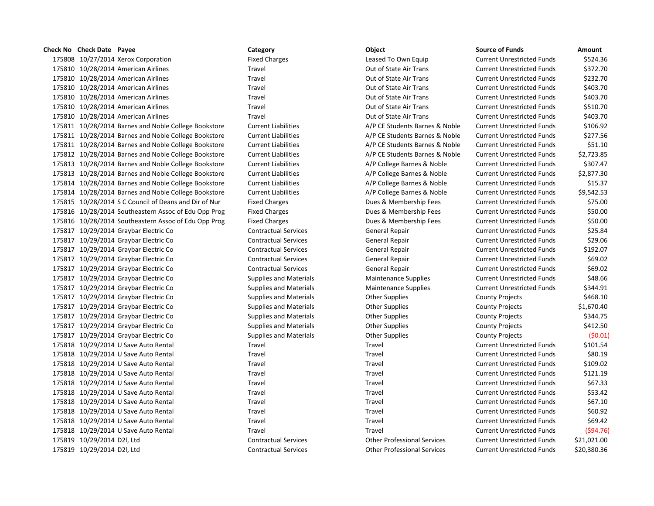# **Check No** Check Date Payee **Channel Category Category Category Category Channel Computer Constanting Computer Computer Computer Computer Computer Computer Computer Computer Computer Computer** 175808 10/27/2014 Xerox Corporation The Rixed Charges Leased To Own Equip Current Current Current Current Current Current Current Current Current Current Current Current Current Current Current Current Current Current Curr 175810 10/28/2014 American Airlines **Travel** Travel **Travel** Out of State Air Trans Cu 175810 10/28/2014 American Airlines **Travel** Travel **Travel Current Current Current Current Current Current Current Current Current Current Current Current Current Current Current Current Current Current Current Current Cu** 175810 10/28/2014 American Airlines Travel Travel Current Current Current Current Current Current Cu 175810 10/28/2014 American Airlines **Travel** Travel **Travel** Out of State Air Trans Cu 175810 10/28/2014 American Airlines **Travel** Travel **Travel Current Current Current Current Current Current Current Current Current Current Current Current Current Current Current Current Current Current Current Current Cu** 175810 10/28/2014 American Airlines **Travel** Travel **Travel** Out of State Air Trans Cu 175811 10/28/2014 Barnes and Noble College Bookstore Current Liabilities A/P CE Students Barnes & Noble Current Liabilities 175811 10/28/2014 Barnes and Noble College Bookstore Current Liabilities A/P CE Students Barnes & Noble Current 175811 10/28/2014 Barnes and Noble College Bookstore Current Liabilities A/P CE Students Barnes & Noble Current 175812 10/28/2014 Barnes and Noble College Bookstore Current Liabilities A/P CE Students Barnes & Noble Current 175813 10/28/2014 Barnes and Noble College Bookstore Current Liabilities A/P College Barnes & Noble Current Unrestricted Funds \$307.47 175813 10/28/2014 Barnes and Noble College Bookstore Current Liabilities **A/P College Barnes & Noble** Current Funds \$2,877.300 175814 10/28/2014 Barnes and Noble College Bookstore Current Liabilities **A/P College Barnes & Noble** Current Funds \$15.37 175814 10/28/2014 Barnes and Noble College Bookstore Current Liabilities **A/P College Barnes & Noble** Current Funds \$9,542.53 175815 10/28/2014 S C Council of Deans and Dir of Nur Fixed Charges Dues & Membership Fees Current Unrestricted Funds \$75.000 Unrestricted Funds \$75.000 Unrestricted Funds \$75.000 Unrestricted Funds \$75.000 Unrestricted Fu 175816 10/28/2014 Southeastern Assoc of Edu Opp Prog Fixed Charges Fixed Charges Dues & Membership Fees Current Current Current Current Unrestricted Funds \$50.0000 Funds \$50.000 Funds \$50.000 Funds \$1,000 Funds \$50.000 Fun 175816 10/28/2014 Southeastern Assoc of Edu Opp Prog Fixed Charges **Dues & Membership Fees** Cur 175817 10/29/2014 Graybar Electric Co Contractual Services General Repair General Repair Current Current Austricted Funds \$25.844 175817 10/29/2014 Graybar Electric Co Contractual Services General Repair Current Repair Current August 20.06 175817 10/29/2014 Graybar Electric Co Contractual Services General Repair General Repair Current Current August 2020 175817 10/29/2014 Graybar Electric Co Contractual Services General Repair General Repair Current Current August 20.02 175817 10/29/2014 Graybar Electric Co Contractual Services General Repair Current Repair Current Unrestricted Funds \$60.02 175817 10/29/2014 Graybar Electric Co Supplies and Materials Maintenance Supplies Current Current Current Current Current Supplies And Materials 175817 10/29/2014 Graybar Electric Co Supplies and Materials Maintenance Supplies Current Current Current Current Current Supplies And Materials 175817 10/29/2014 Graybar Electric Co Supplies and Materials County Projects Active Active Active Active Activ 175817 10/29/2014 Graybar Electric Co Supplies and Materials Other Supplies County Projects \$1,670.40 175817 10/29/2014 Graybar Electric Co Supplies and Materials County Projects Active County Projects & County P 175817 10/29/2014 Graybar Electric Co Supplies and Materials County Projects Active 2012 175817 10/29/2014 Graybar Electric Co Supplies and Materials County Projects (Souperview County Projects (200 175818 10/29/2014 U Save Auto Rental Travel Travel Travel Travel Travel Current Unrestricted Travel Current Cu 175818 10/29/2014 U Save Auto Rental Travel Travel Travel Travel Travel Current Unrestricted Travel Current Cu 175818 10/29/2014 U Save Auto Rental Travel Travel Travel Travel Travel Current Unrestricted Travel Current Cu 175818 10/29/2014 U Save Auto Rental Travel Travel Travel Travel Travel Travel Travel Current Current Current Current Current Current Current Unrestricted Funds \$121.19 175818 10/29/2014 U Save Auto Rental Travel Travel Travel Travel Travel Current Current Current Current Current Current Current Current Current Unit Unrestricted Funds \$67.33 175818 10/29/2014 U Save Auto Rental Travel Travel Travel Travel Travel Current Unrestricted Travel Current Cu 175818 10/29/2014 U Save Auto Rental Travel Travel Travel Travel Travel Current Unrestricted Travel Current Cur 175818 10/29/2014 U Save Auto Rental Travel Travel Travel Travel Travel Current Current Current Current Current Current Current Current Current Unrestricted Funds \$60.92 175818 10/29/2014 U Save Auto Rental Travel Travel Travel Travel Travel Current Unrestricted Travel Current Cu 175818 10/29/2014 U Save Auto Rental Travel Travel Travel Travel Travel Current Unrestricted Travel Current Cu 175819 10/29/2014 D2l, Ltd Contractual Services Current Contractual Services Current Unrestricted Funds \$21,000 175819 10/29/2014 D2l, Ltd Contractual Services Other Professional Services Current Unrestricted Funds \$20,380.36

| urce of Funds            | Amount       |
|--------------------------|--------------|
| rrent Unrestricted Funds | \$524.36     |
| rrent Unrestricted Funds | \$372.70     |
| rrent Unrestricted Funds | \$232.70     |
| rrent Unrestricted Funds | \$403.70     |
| rrent Unrestricted Funds | \$403.70     |
| rrent Unrestricted Funds | \$510.70     |
| rrent Unrestricted Funds | \$403.70     |
| rrent Unrestricted Funds | \$106.92     |
| rrent Unrestricted Funds | \$277.56     |
| rrent Unrestricted Funds | \$51.10      |
| rrent Unrestricted Funds | \$2,723.85   |
| rrent Unrestricted Funds | \$307.47     |
| rrent Unrestricted Funds | \$2,877.30   |
| rrent Unrestricted Funds | \$15.37      |
| rrent Unrestricted Funds | \$9,542.53   |
| rrent Unrestricted Funds | \$75.00      |
| rrent Unrestricted Funds | \$50.00      |
| rrent Unrestricted Funds | \$50.00      |
| rrent Unrestricted Funds | \$25.84      |
| rrent Unrestricted Funds | \$29.06      |
| rrent Unrestricted Funds | \$192.07     |
| rrent Unrestricted Funds | \$69.02      |
| rrent Unrestricted Funds | \$69.02      |
| rrent Unrestricted Funds | \$48.66      |
| rrent Unrestricted Funds | \$344.91     |
| unty Projects            | \$468.10     |
| unty Projects            | \$1,670.40   |
| unty Projects            | \$344.75     |
| unty Projects            | \$412.50     |
| unty Projects            | (50.01)      |
| rrent Unrestricted Funds | \$101.54     |
| rrent Unrestricted Funds | \$80.19      |
| rrent Unrestricted Funds | \$109.02     |
| rrent Unrestricted Funds | \$121.19     |
| rrent Unrestricted Funds | \$67.33      |
| rrent Unrestricted Funds | \$53.42      |
| rrent Unrestricted Funds | \$67.10      |
| rrent Unrestricted Funds | \$60.92      |
| rrent Unrestricted Funds | \$69.42      |
| rrent Unrestricted Funds | $($ \$94.76) |
| rrent Unrestricted Funds | \$21,021.00  |
| rrent Unrestricted Funds | \$20,380.36  |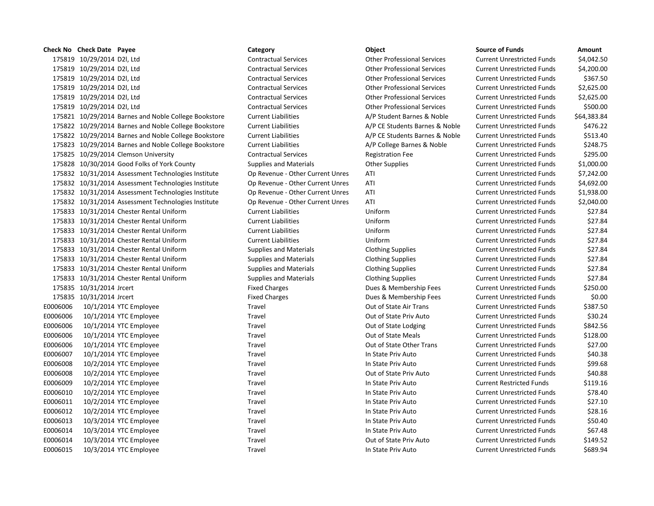**Check No Check Date Payee Category Object Source of Funds Amount** 175819 10/29/2014 D2l, Ltd Contractual Services Other Professional Services Current Unrestricted Funds \$4,042.50 175819 10/29/2014 D2l, Ltd Contractual Services Other Professional Services Current Unrestricted Funds \$4,200.00 175819 10/29/2014 D2l, Ltd Contractual Services Other Professional Services Current Unrestricted Funds \$367.50 175819 10/29/2014 D2l, Ltd Contractual Services Other Professional Services Current Unrestricted Funds \$2,625.00 175819 10/29/2014 D2l, Ltd Contractual Services Other Professional Services Current Unrestricted Funds \$2,625.00 175819 10/29/2014 D2l, Ltd Contractual Services Other Professional Services Current Unrestricted Funds \$500.00 175821 10/29/2014 Barnes and Noble College Bookstore Current Liabilities A/P Student Barnes & Noble Current Unrestricted Funds \$64,383.84 175822 10/29/2014 Barnes and Noble College Bookstore Current Liabilities A/P CE Students Barnes & Noble Current Unrestricted Funds \$476.22 175822 10/29/2014 Barnes and Noble College Bookstore Current Liabilities A/P CE Students Barnes & Noble Current Unrestricted Funds \$513.40 175823 10/29/2014 Barnes and Noble College Bookstore Current Liabilities A/P College Barnes & Noble Current Unrestricted Funds \$248.75 175825 10/29/2014 Clemson University Contractual Services Registration Fee Current Unrestricted Funds \$295.00 175828 10/30/2014 Good Folks of York County Supplies and Materials Other Supplies Current Unrestricted Funds \$1,000.00 175832 10/31/2014 Assessment Technologies Institute Op Revenue - Other Current Unres ATI Current Unrestricted Funds \$7,242.00 175832 10/31/2014 Assessment Technologies Institute Op Revenue - Other Current Unres ATI Current Unrestricted Funds \$4,692.00 175832 10/31/2014 Assessment Technologies Institute Op Revenue - Other Current Unres ATI Current Unrestricted Funds \$1,938.00 175832 10/31/2014 Assessment Technologies Institute Op Revenue - Other Current Unres ATI Current Unrestricted Funds \$2,040.00 175833 10/31/2014 Chester Rental Uniform Current Liabilities Uniform Current Unrestricted Funds \$27.84 175833 10/31/2014 Chester Rental Uniform Current Liabilities Uniform Current Unrestricted Funds \$27.84 175833 10/31/2014 Chester Rental Uniform Current Liabilities Uniform Current Unrestricted Funds \$27.84 175833 10/31/2014 Chester Rental Uniform Current Liabilities Uniform Current Unrestricted Funds \$27.84 175833 10/31/2014 Chester Rental Uniform Supplies and Materials Clothing Supplies Current Unrestricted Funds \$27.84 175833 10/31/2014 Chester Rental Uniform Supplies and Materials Clothing Supplies Current Unrestricted Funds \$27.84 175833 10/31/2014 Chester Rental Uniform Supplies and Materials Clothing Supplies Current Unrestricted Funds \$27.84 175833 10/31/2014 Chester Rental Uniform Supplies and Materials Clothing Supplies Current Unrestricted Funds \$27.84 175835 10/31/2014 Jrcert enterty and the Fixed Charges Current Dues & Membership Fees Current Unrestricted Funds \$250.00 175835 10/31/2014 Jrcert **Example 2018** Fixed Charges **Dues & Membership Fees Current Unrestricted Funds** \$0.00 E0006006 10/1/2014 YTC Employee Travel Travel Travel Out of State Air Trans Current Unrestricted Funds \$387.50 E0006006 10/1/2014 YTC Employee Travel Out of State Priv Auto Current Unrestricted Funds \$30.24 E0006006 10/1/2014 YTC Employee Travel Travel Travel Out of State Lodging Current Unrestricted Funds \$842.56 E0006006 10/1/2014 YTC Employee Travel Travel Travel Out of State Meals Current Unrestricted Funds \$128.00 E0006006 10/1/2014 YTC Employee Travel Travel Travel Out of State Other Trans Current Unrestricted Funds \$27.00 E0006007 10/1/2014 YTC Employee Travel Travel Travel In State Priv Auto Current Unrestricted Funds \$40.38 E0006008 10/2/2014 YTC Employee Travel Travel Travel In State Priv Auto Current Unrestricted Funds \$99.68 E0006008 10/2/2014 YTC Employee Travel Travel Travel Out of State Priv Auto Current Unrestricted Funds \$40.88 E0006009 10/2/2014 YTC Employee Travel Travel Travel In State Priv Auto Current Restricted Funds \$119.16 E0006010 10/2/2014 YTC Employee Travel Travel Travel In State Priv Auto Current Unrestricted Funds \$78.40 E0006011 10/2/2014 YTC Employee Travel Travel Travel In State Priv Auto Current Unrestricted Funds \$27.10 E0006012 10/2/2014 YTC Employee Travel Travel Travel In State Priv Auto Current Unrestricted Funds \$28.16 E0006013 10/3/2014 YTC Employee Travel Travel Travel In State Priv Auto Current Unrestricted Funds \$50.40 E0006014 10/3/2014 YTC Employee Travel Travel Travel In State Priv Auto Current Unrestricted Funds \$67.48 E0006014 10/3/2014 YTC Employee Travel Travel Travel Out of State Priv Auto Current Unrestricted Funds \$149.52 E0006015 10/3/2014 YTC Employee Travel Travel Travel Current Unrestricted Funds \$689.94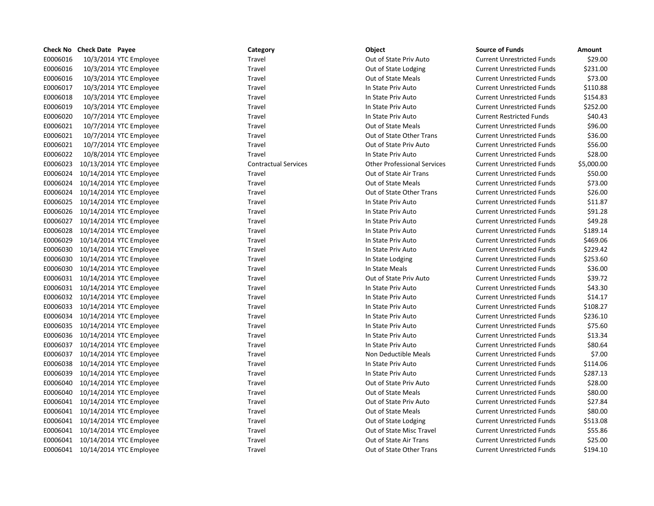|          | Check No Check Date Payee |                         | Category                    | Object                             | <b>Source of Funds</b>            | Amount     |
|----------|---------------------------|-------------------------|-----------------------------|------------------------------------|-----------------------------------|------------|
| E0006016 |                           | 10/3/2014 YTC Employee  | Travel                      | Out of State Priv Auto             | <b>Current Unrestricted Funds</b> | \$29.00    |
| E0006016 |                           | 10/3/2014 YTC Employee  | Travel                      | Out of State Lodging               | <b>Current Unrestricted Funds</b> | \$231.00   |
| E0006016 |                           | 10/3/2014 YTC Employee  | Travel                      | Out of State Meals                 | <b>Current Unrestricted Funds</b> | \$73.00    |
| E0006017 |                           | 10/3/2014 YTC Employee  | Travel                      | In State Priv Auto                 | <b>Current Unrestricted Funds</b> | \$110.88   |
| E0006018 |                           | 10/3/2014 YTC Employee  | Travel                      | In State Priv Auto                 | <b>Current Unrestricted Funds</b> | \$154.83   |
| E0006019 |                           | 10/3/2014 YTC Employee  | Travel                      | In State Priv Auto                 | <b>Current Unrestricted Funds</b> | \$252.00   |
| E0006020 |                           | 10/7/2014 YTC Employee  | Travel                      | In State Priv Auto                 | <b>Current Restricted Funds</b>   | \$40.43    |
| E0006021 |                           | 10/7/2014 YTC Employee  | Travel                      | Out of State Meals                 | <b>Current Unrestricted Funds</b> | \$96.00    |
| E0006021 |                           | 10/7/2014 YTC Employee  | Travel                      | Out of State Other Trans           | <b>Current Unrestricted Funds</b> | \$36.00    |
| E0006021 |                           | 10/7/2014 YTC Employee  | Travel                      | Out of State Priv Auto             | <b>Current Unrestricted Funds</b> | \$56.00    |
| E0006022 |                           | 10/8/2014 YTC Employee  | Travel                      | In State Priv Auto                 | <b>Current Unrestricted Funds</b> | \$28.00    |
| E0006023 |                           | 10/13/2014 YTC Employee | <b>Contractual Services</b> | <b>Other Professional Services</b> | <b>Current Unrestricted Funds</b> | \$5,000.00 |
| E0006024 |                           | 10/14/2014 YTC Employee | Travel                      | Out of State Air Trans             | <b>Current Unrestricted Funds</b> | \$50.00    |
| E0006024 |                           | 10/14/2014 YTC Employee | Travel                      | <b>Out of State Meals</b>          | <b>Current Unrestricted Funds</b> | \$73.00    |
| E0006024 |                           | 10/14/2014 YTC Employee | Travel                      | Out of State Other Trans           | <b>Current Unrestricted Funds</b> | \$26.00    |
| E0006025 |                           | 10/14/2014 YTC Employee | Travel                      | In State Priv Auto                 | <b>Current Unrestricted Funds</b> | \$11.87    |
| E0006026 |                           | 10/14/2014 YTC Employee | Travel                      | In State Priv Auto                 | <b>Current Unrestricted Funds</b> | \$91.28    |
| E0006027 |                           | 10/14/2014 YTC Employee | Travel                      | In State Priv Auto                 | <b>Current Unrestricted Funds</b> | \$49.28    |
| E0006028 |                           | 10/14/2014 YTC Employee | Travel                      | In State Priv Auto                 | <b>Current Unrestricted Funds</b> | \$189.14   |
| E0006029 |                           | 10/14/2014 YTC Employee | Travel                      | In State Priv Auto                 | <b>Current Unrestricted Funds</b> | \$469.06   |
| E0006030 |                           | 10/14/2014 YTC Employee | Travel                      | In State Priv Auto                 | <b>Current Unrestricted Funds</b> | \$229.42   |
| E0006030 |                           | 10/14/2014 YTC Employee | Travel                      | In State Lodging                   | <b>Current Unrestricted Funds</b> | \$253.60   |
| E0006030 |                           | 10/14/2014 YTC Employee | Travel                      | In State Meals                     | <b>Current Unrestricted Funds</b> | \$36.00    |
| E0006031 |                           | 10/14/2014 YTC Employee | Travel                      | Out of State Priv Auto             | <b>Current Unrestricted Funds</b> | \$39.72    |
| E0006031 |                           | 10/14/2014 YTC Employee | Travel                      | In State Priv Auto                 | <b>Current Unrestricted Funds</b> | \$43.30    |
| E0006032 |                           | 10/14/2014 YTC Employee | Travel                      | In State Priv Auto                 | <b>Current Unrestricted Funds</b> | \$14.17    |
| E0006033 |                           | 10/14/2014 YTC Employee | Travel                      | In State Priv Auto                 | <b>Current Unrestricted Funds</b> | \$108.27   |
| E0006034 |                           | 10/14/2014 YTC Employee | Travel                      | In State Priv Auto                 | <b>Current Unrestricted Funds</b> | \$236.10   |
| E0006035 |                           | 10/14/2014 YTC Employee | Travel                      | In State Priv Auto                 | <b>Current Unrestricted Funds</b> | \$75.60    |
| E0006036 |                           | 10/14/2014 YTC Employee | Travel                      | In State Priv Auto                 | <b>Current Unrestricted Funds</b> | \$13.34    |
| E0006037 |                           | 10/14/2014 YTC Employee | Travel                      | In State Priv Auto                 | <b>Current Unrestricted Funds</b> | \$80.64    |
| E0006037 |                           | 10/14/2014 YTC Employee | Travel                      | Non Deductible Meals               | <b>Current Unrestricted Funds</b> | \$7.00     |
| E0006038 |                           | 10/14/2014 YTC Employee | Travel                      | In State Priv Auto                 | <b>Current Unrestricted Funds</b> | \$114.06   |
| E0006039 |                           | 10/14/2014 YTC Employee | Travel                      | In State Priv Auto                 | <b>Current Unrestricted Funds</b> | \$287.13   |
| E0006040 |                           | 10/14/2014 YTC Employee | Travel                      | Out of State Priv Auto             | <b>Current Unrestricted Funds</b> | \$28.00    |
| E0006040 |                           | 10/14/2014 YTC Employee | Travel                      | <b>Out of State Meals</b>          | <b>Current Unrestricted Funds</b> | \$80.00    |
| E0006041 |                           | 10/14/2014 YTC Employee | Travel                      | Out of State Priv Auto             | <b>Current Unrestricted Funds</b> | \$27.84    |
| E0006041 |                           | 10/14/2014 YTC Employee | Travel                      | Out of State Meals                 | <b>Current Unrestricted Funds</b> | \$80.00    |
| E0006041 |                           | 10/14/2014 YTC Employee | Travel                      | Out of State Lodging               | <b>Current Unrestricted Funds</b> | \$513.08   |
| E0006041 |                           | 10/14/2014 YTC Employee | Travel                      | Out of State Misc Travel           | <b>Current Unrestricted Funds</b> | \$55.86    |
| E0006041 |                           | 10/14/2014 YTC Employee | Travel                      | Out of State Air Trans             | <b>Current Unrestricted Funds</b> | \$25.00    |
| E0006041 |                           | 10/14/2014 YTC Employee | Travel                      | Out of State Other Trans           | <b>Current Unrestricted Funds</b> | \$194.10   |

| ategory           |
|-------------------|
| ravel             |
| ravel             |
| ravel             |
| ravel             |
| ravel             |
| ravel             |
| ravel             |
| ravel             |
| ravel             |
| ravel             |
| ravel             |
| ontractual Servic |
| ravel             |
| ravel             |
| ravel             |
| ravel             |
| ravel             |
| ravel             |
| ravel             |
| ravel             |
| ravel             |
| ravel             |
| ravel             |
| ravel             |
| ravel             |
| ravel             |
| ravel             |
| ravel             |
| ravel             |
| ravel             |
| ravel             |
| ravel             |
| ravel             |
| ravel             |
| ravel             |
| ravel             |
| ravel             |
| ravel             |
| ravel             |
| ravel             |
| ravel             |
| ravel             |

|          | <b>Check No Check Date Payee</b> |                                   | Category                    | Object                             | <b>Source of Funds</b>            | Amount     |
|----------|----------------------------------|-----------------------------------|-----------------------------|------------------------------------|-----------------------------------|------------|
| E0006016 |                                  | 10/3/2014 YTC Employee            | Travel                      | Out of State Priv Auto             | <b>Current Unrestricted Funds</b> | \$29.00    |
| E0006016 |                                  | 10/3/2014 YTC Employee            | Travel                      | Out of State Lodging               | <b>Current Unrestricted Funds</b> | \$231.00   |
| E0006016 |                                  | 10/3/2014 YTC Employee            | Travel                      | <b>Out of State Meals</b>          | <b>Current Unrestricted Funds</b> | \$73.00    |
| E0006017 |                                  | 10/3/2014 YTC Employee            | Travel                      | In State Priv Auto                 | <b>Current Unrestricted Funds</b> | \$110.88   |
| E0006018 |                                  | 10/3/2014 YTC Employee            | Travel                      | In State Priv Auto                 | <b>Current Unrestricted Funds</b> | \$154.83   |
| E0006019 |                                  | 10/3/2014 YTC Employee            | Travel                      | In State Priv Auto                 | <b>Current Unrestricted Funds</b> | \$252.00   |
| E0006020 |                                  | 10/7/2014 YTC Employee            | Travel                      | In State Priv Auto                 | <b>Current Restricted Funds</b>   | \$40.43    |
| E0006021 |                                  | 10/7/2014 YTC Employee            | Travel                      | <b>Out of State Meals</b>          | <b>Current Unrestricted Funds</b> | \$96.00    |
| E0006021 |                                  | 10/7/2014 YTC Employee            | Travel                      | Out of State Other Trans           | <b>Current Unrestricted Funds</b> | \$36.00    |
| E0006021 |                                  | 10/7/2014 YTC Employee            | Travel                      | Out of State Priv Auto             | <b>Current Unrestricted Funds</b> | \$56.00    |
| E0006022 |                                  | 10/8/2014 YTC Employee            | Travel                      | In State Priv Auto                 | <b>Current Unrestricted Funds</b> | \$28.00    |
| E0006023 |                                  | 10/13/2014 YTC Employee           | <b>Contractual Services</b> | <b>Other Professional Services</b> | <b>Current Unrestricted Funds</b> | \$5,000.00 |
| E0006024 |                                  | 10/14/2014 YTC Employee           | Travel                      | Out of State Air Trans             | <b>Current Unrestricted Funds</b> | \$50.00    |
| E0006024 |                                  | 10/14/2014 YTC Employee           | Travel                      | <b>Out of State Meals</b>          | <b>Current Unrestricted Funds</b> | \$73.00    |
| E0006024 |                                  | 10/14/2014 YTC Employee           | Travel                      | Out of State Other Trans           | <b>Current Unrestricted Funds</b> | \$26.00    |
| E0006025 |                                  | 10/14/2014 YTC Employee           | Travel                      | In State Priv Auto                 | <b>Current Unrestricted Funds</b> | \$11.87    |
| E0006026 |                                  | 10/14/2014 YTC Employee           | Travel                      | In State Priv Auto                 | <b>Current Unrestricted Funds</b> | \$91.28    |
| E0006027 |                                  | 10/14/2014 YTC Employee           | Travel                      | In State Priv Auto                 | <b>Current Unrestricted Funds</b> | \$49.28    |
| E0006028 |                                  | 10/14/2014 YTC Employee           | Travel                      | In State Priv Auto                 | <b>Current Unrestricted Funds</b> | \$189.14   |
| E0006029 |                                  | 10/14/2014 YTC Employee           | Travel                      | In State Priv Auto                 | <b>Current Unrestricted Funds</b> | \$469.06   |
| E0006030 |                                  | 10/14/2014 YTC Employee           | Travel                      | In State Priv Auto                 | <b>Current Unrestricted Funds</b> | \$229.42   |
| E0006030 |                                  | 10/14/2014 YTC Employee           | Travel                      | In State Lodging                   | <b>Current Unrestricted Funds</b> | \$253.60   |
| E0006030 |                                  | 10/14/2014 YTC Employee           | Travel                      | In State Meals                     | <b>Current Unrestricted Funds</b> | \$36.00    |
|          |                                  | E0006031 10/14/2014 YTC Employee  | Travel                      | Out of State Priv Auto             | <b>Current Unrestricted Funds</b> | \$39.72    |
| E0006031 |                                  | 10/14/2014 YTC Employee           | Travel                      | In State Priv Auto                 | <b>Current Unrestricted Funds</b> | \$43.30    |
|          |                                  | E0006032 10/14/2014 YTC Employee  | Travel                      | In State Priv Auto                 | <b>Current Unrestricted Funds</b> | \$14.17    |
| E0006033 |                                  | 10/14/2014 YTC Employee           | Travel                      | In State Priv Auto                 | <b>Current Unrestricted Funds</b> | \$108.27   |
| E0006034 |                                  | 10/14/2014 YTC Employee           | Travel                      | In State Priv Auto                 | <b>Current Unrestricted Funds</b> | \$236.10   |
| E0006035 |                                  | 10/14/2014 YTC Employee           | Travel                      | In State Priv Auto                 | <b>Current Unrestricted Funds</b> | \$75.60    |
| E0006036 |                                  | 10/14/2014 YTC Employee           | Travel                      | In State Priv Auto                 | <b>Current Unrestricted Funds</b> | \$13.34    |
| E0006037 |                                  | 10/14/2014 YTC Employee           | Travel                      | In State Priv Auto                 | <b>Current Unrestricted Funds</b> | \$80.64    |
| E0006037 |                                  | 10/14/2014 YTC Employee           | Travel                      | Non Deductible Meals               | <b>Current Unrestricted Funds</b> | \$7.00     |
| E0006038 |                                  | 10/14/2014 YTC Employee           | Travel                      | In State Priv Auto                 | <b>Current Unrestricted Funds</b> | \$114.06   |
| E0006039 |                                  | 10/14/2014 YTC Employee           | Travel                      | In State Priv Auto                 | <b>Current Unrestricted Funds</b> | \$287.13   |
| E0006040 |                                  | 10/14/2014 YTC Employee           | Travel                      | Out of State Priv Auto             | <b>Current Unrestricted Funds</b> | \$28.00    |
| E0006040 |                                  | 10/14/2014 YTC Employee           | Travel                      | <b>Out of State Meals</b>          | <b>Current Unrestricted Funds</b> | \$80.00    |
| E0006041 |                                  | 10/14/2014 YTC Employee           | Travel                      | Out of State Priv Auto             | <b>Current Unrestricted Funds</b> | \$27.84    |
| E0006041 |                                  | 10/14/2014 YTC Employee           | Travel                      | <b>Out of State Meals</b>          | <b>Current Unrestricted Funds</b> | \$80.00    |
|          |                                  | E0006041 10/14/2014 YTC Employee  | Travel                      | Out of State Lodging               | <b>Current Unrestricted Funds</b> | \$513.08   |
| E0006041 |                                  | 10/14/2014 YTC Employee           | Travel                      | Out of State Misc Travel           | <b>Current Unrestricted Funds</b> | \$55.86    |
|          |                                  | E0006041 10/14/2014 YTC Employee  | Travel                      | Out of State Air Trans             | <b>Current Unrestricted Funds</b> | \$25.00    |
|          |                                  | $OMOM1 = 10/14/2014 VTC$ Employee | Travel                      | Out of State Other Trans           | Curront Unroctrictod Eunde        | 610110     |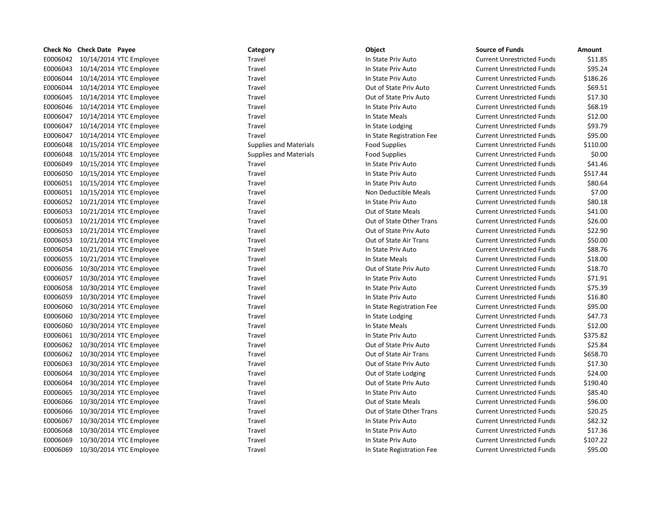| Check No        | Check Date Payee |                         |
|-----------------|------------------|-------------------------|
| E0006042        |                  | 10/14/2014 YTC Employee |
| E0006043        |                  | 10/14/2014 YTC Employee |
| E0006044        |                  | 10/14/2014 YTC Employee |
| E0006044        |                  | 10/14/2014 YTC Employee |
| E0006045        |                  | 10/14/2014 YTC Employee |
| E0006046        |                  | 10/14/2014 YTC Employee |
| E0006047        |                  | 10/14/2014 YTC Employee |
| E0006047        |                  | 10/14/2014 YTC Employee |
| E0006047        |                  | 10/14/2014 YTC Employee |
| E0006048        |                  | 10/15/2014 YTC Employee |
| E0006048        |                  | 10/15/2014 YTC Employee |
| E0006049        |                  | 10/15/2014 YTC Employee |
| E0006050        |                  | 10/15/2014 YTC Employee |
| E0006051        |                  | 10/15/2014 YTC Employee |
| E0006051        |                  | 10/15/2014 YTC Employee |
| E0006052        |                  | 10/21/2014 YTC Employee |
| E0006053        |                  | 10/21/2014 YTC Employee |
| E0006053        |                  | 10/21/2014 YTC Employee |
| E0006053        |                  | 10/21/2014 YTC Employee |
| E0006053        |                  | 10/21/2014 YTC Employee |
| E0006054        |                  | 10/21/2014 YTC Employee |
| E0006055        |                  | 10/21/2014 YTC Employee |
| E0006056        |                  | 10/30/2014 YTC Employee |
| E0006057        |                  | 10/30/2014 YTC Employee |
| E0006058        |                  | 10/30/2014 YTC Employee |
| E0006059        |                  | 10/30/2014 YTC Employee |
| E0006060        |                  | 10/30/2014 YTC Employee |
| E0006060        |                  | 10/30/2014 YTC Employee |
| E0006060        |                  | 10/30/2014 YTC Employee |
| E0006061        |                  | 10/30/2014 YTC Employee |
| E0006062        |                  | 10/30/2014 YTC Employee |
| E0006062        |                  | 10/30/2014 YTC Employee |
| E0006063        |                  | 10/30/2014 YTC Employee |
| E0006064        |                  | 10/30/2014 YTC Employee |
| E0006064        |                  | 10/30/2014 YTC Employee |
| E0006065        |                  | 10/30/2014 YTC Employee |
| E0006066        |                  | 10/30/2014 YTC Employee |
| E0006066        |                  | 10/30/2014 YTC Employee |
| E0006067        |                  | 10/30/2014 YTC Employee |
| E0006068        |                  | 10/30/2014 YTC Employee |
| E0006069        |                  | 10/30/2014 YTC Employee |
| <b>FOOO6069</b> |                  | 10/30/2014 YTC Employee |

| Category                      | Object                      |
|-------------------------------|-----------------------------|
| Travel                        | In State Priv Auto          |
| Travel                        | In State Priv Auto          |
| Travel                        | In State Priv Auto          |
| Travel                        | Out of State Priv Auto      |
| Travel                        | Out of State Priv Auto      |
| Travel                        | In State Priv Auto          |
| Travel                        | In State Meals              |
| Travel                        | In State Lodging            |
| Travel                        | In State Registration F     |
| <b>Supplies and Materials</b> | <b>Food Supplies</b>        |
| <b>Supplies and Materials</b> | <b>Food Supplies</b>        |
| Travel                        | In State Priv Auto          |
| Travel                        | In State Priv Auto          |
| Travel                        | In State Priv Auto          |
| Travel                        | <b>Non Deductible Meals</b> |
| Travel                        | In State Priv Auto          |
| Travel                        | Out of State Meals          |
| Travel                        | Out of State Other Tra      |
| Travel                        | Out of State Priv Auto      |
| <b>Travel</b>                 | Out of State Air Trans      |
| Travel                        | In State Priv Auto          |
| Travel                        | In State Meals              |
| Travel                        | Out of State Priv Auto      |
| Travel                        | In State Priv Auto          |
| Travel                        | In State Priv Auto          |
| Travel                        | In State Priv Auto          |
| Travel                        | In State Registration F     |
| Travel                        | In State Lodging            |
| Travel                        | In State Meals              |
| Travel                        | In State Priv Auto          |
| Travel                        | Out of State Priv Auto      |
| Travel                        | Out of State Air Trans      |
| Travel                        | Out of State Priv Auto      |
| Travel                        | Out of State Lodging        |
| Travel                        | Out of State Priv Auto      |
| Travel                        | In State Priv Auto          |
| Travel                        | <b>Out of State Meals</b>   |
| Travel                        | Out of State Other Tra      |
| Travel                        | In State Priv Auto          |
| Travel                        | In State Priv Auto          |
| Travel                        | In State Priv Auto          |
| Travel                        | In State Registration Fr    |

# Travel **Travel** Travel **Travel** In State Registration Fee E00061 100061 10006051 100061 100061 100061 Non Deductible Meals E0006053 10/21/2014 YTC Employee Travel Out of State Other Trans Current Unrestricted Funds \$26.00 Travel **Travel** Travel **Travel** In State Registration Fee Ended Travel Travel State Other Trans Travel Australian Current Units Out of State Other Trans

|          | <b>Check No Check Date Payee</b> | Category                      | Object                    | <b>Source of Funds</b>            | Amount   |
|----------|----------------------------------|-------------------------------|---------------------------|-----------------------------------|----------|
|          | E0006042 10/14/2014 YTC Employee | Travel                        | In State Priv Auto        | <b>Current Unrestricted Funds</b> | \$11.85  |
|          | E0006043 10/14/2014 YTC Employee | Travel                        | In State Priv Auto        | <b>Current Unrestricted Funds</b> | \$95.24  |
|          | E0006044 10/14/2014 YTC Employee | Travel                        | In State Priv Auto        | <b>Current Unrestricted Funds</b> | \$186.26 |
| E0006044 | 10/14/2014 YTC Employee          | Travel                        | Out of State Priv Auto    | <b>Current Unrestricted Funds</b> | \$69.51  |
|          | E0006045 10/14/2014 YTC Employee | Travel                        | Out of State Priv Auto    | <b>Current Unrestricted Funds</b> | \$17.30  |
| E0006046 | 10/14/2014 YTC Employee          | Travel                        | In State Priv Auto        | <b>Current Unrestricted Funds</b> | \$68.19  |
|          | E0006047 10/14/2014 YTC Employee | Travel                        | In State Meals            | <b>Current Unrestricted Funds</b> | \$12.00  |
| E0006047 | 10/14/2014 YTC Employee          | Travel                        | In State Lodging          | <b>Current Unrestricted Funds</b> | \$93.79  |
| E0006047 | 10/14/2014 YTC Employee          | Travel                        | In State Registration Fee | <b>Current Unrestricted Funds</b> | \$95.00  |
| E0006048 | 10/15/2014 YTC Employee          | <b>Supplies and Materials</b> | <b>Food Supplies</b>      | <b>Current Unrestricted Funds</b> | \$110.00 |
| E0006048 | 10/15/2014 YTC Employee          | <b>Supplies and Materials</b> | <b>Food Supplies</b>      | <b>Current Unrestricted Funds</b> | \$0.00   |
|          | E0006049 10/15/2014 YTC Employee | Travel                        | In State Priv Auto        | <b>Current Unrestricted Funds</b> | \$41.46  |
|          | E0006050 10/15/2014 YTC Employee | Travel                        | In State Priv Auto        | <b>Current Unrestricted Funds</b> | \$517.44 |
|          | E0006051 10/15/2014 YTC Employee | Travel                        | In State Priv Auto        | <b>Current Unrestricted Funds</b> | \$80.64  |
|          | E0006051 10/15/2014 YTC Employee | Travel                        | Non Deductible Meals      | <b>Current Unrestricted Funds</b> | \$7.00   |
|          | E0006052 10/21/2014 YTC Employee | Travel                        | In State Priv Auto        | <b>Current Unrestricted Funds</b> | \$80.18  |
|          | E0006053 10/21/2014 YTC Employee | Travel                        | Out of State Meals        | <b>Current Unrestricted Funds</b> | \$41.00  |
|          | E0006053 10/21/2014 YTC Employee | Travel                        | Out of State Other Trans  | <b>Current Unrestricted Funds</b> | \$26.00  |
|          | E0006053 10/21/2014 YTC Employee | Travel                        | Out of State Priv Auto    | <b>Current Unrestricted Funds</b> | \$22.90  |
|          | E0006053 10/21/2014 YTC Employee | Travel                        | Out of State Air Trans    | <b>Current Unrestricted Funds</b> | \$50.00  |
|          | E0006054 10/21/2014 YTC Employee | Travel                        | In State Priv Auto        | <b>Current Unrestricted Funds</b> | \$88.76  |
| E0006055 | 10/21/2014 YTC Employee          | Travel                        | In State Meals            | <b>Current Unrestricted Funds</b> | \$18.00  |
|          | E0006056 10/30/2014 YTC Employee | Travel                        | Out of State Priv Auto    | <b>Current Unrestricted Funds</b> | \$18.70  |
| E0006057 | 10/30/2014 YTC Employee          | Travel                        | In State Priv Auto        | <b>Current Unrestricted Funds</b> | \$71.91  |
| E0006058 | 10/30/2014 YTC Employee          | Travel                        | In State Priv Auto        | <b>Current Unrestricted Funds</b> | \$75.39  |
| E0006059 | 10/30/2014 YTC Employee          | Travel                        | In State Priv Auto        | <b>Current Unrestricted Funds</b> | \$16.80  |
| E0006060 | 10/30/2014 YTC Employee          | Travel                        | In State Registration Fee | <b>Current Unrestricted Funds</b> | \$95.00  |
| E0006060 | 10/30/2014 YTC Employee          | Travel                        | In State Lodging          | <b>Current Unrestricted Funds</b> | \$47.73  |
| E0006060 | 10/30/2014 YTC Employee          | Travel                        | In State Meals            | <b>Current Unrestricted Funds</b> | \$12.00  |
| E0006061 | 10/30/2014 YTC Employee          | Travel                        | In State Priv Auto        | <b>Current Unrestricted Funds</b> | \$375.82 |
|          | E0006062 10/30/2014 YTC Employee | Travel                        | Out of State Priv Auto    | <b>Current Unrestricted Funds</b> | \$25.84  |
| E0006062 | 10/30/2014 YTC Employee          | Travel                        | Out of State Air Trans    | <b>Current Unrestricted Funds</b> | \$658.70 |
| E0006063 | 10/30/2014 YTC Employee          | Travel                        | Out of State Priv Auto    | <b>Current Unrestricted Funds</b> | \$17.30  |
| E0006064 | 10/30/2014 YTC Employee          | Travel                        | Out of State Lodging      | <b>Current Unrestricted Funds</b> | \$24.00  |
| E0006064 | 10/30/2014 YTC Employee          | Travel                        | Out of State Priv Auto    | <b>Current Unrestricted Funds</b> | \$190.40 |
| E0006065 | 10/30/2014 YTC Employee          | Travel                        | In State Priv Auto        | <b>Current Unrestricted Funds</b> | \$85.40  |
| E0006066 | 10/30/2014 YTC Employee          | Travel                        | <b>Out of State Meals</b> | <b>Current Unrestricted Funds</b> | \$96.00  |
| E0006066 | 10/30/2014 YTC Employee          | Travel                        | Out of State Other Trans  | <b>Current Unrestricted Funds</b> | \$20.25  |
| E0006067 | 10/30/2014 YTC Employee          | Travel                        | In State Priv Auto        | <b>Current Unrestricted Funds</b> | \$82.32  |
| E0006068 | 10/30/2014 YTC Employee          | Travel                        | In State Priv Auto        | <b>Current Unrestricted Funds</b> | \$17.36  |
| E0006069 | 10/30/2014 YTC Employee          | Travel                        | In State Priv Auto        | <b>Current Unrestricted Funds</b> | \$107.22 |
|          | E0006069 10/30/2014 YTC Employee | Travel                        | In State Registration Fee | <b>Current Unrestricted Funds</b> | \$95.00  |